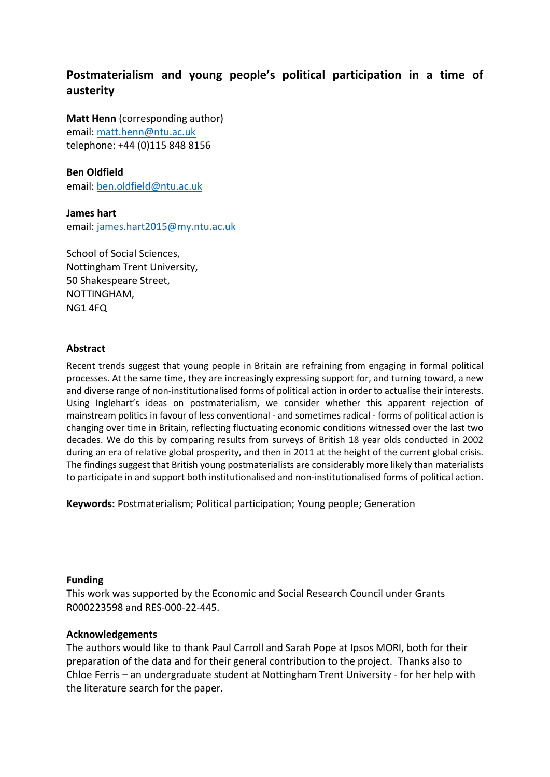# **Postmaterialism and young people's political participation in a time of austerity**

**Matt Henn** (corresponding author) email[: matt.henn@ntu.ac.uk](mailto:matt.henn@ntu.ac.uk)  telephone: +44 (0)115 848 8156

#### **Ben Oldfield**

email[: ben.oldfield@ntu.ac.uk](mailto:ben.oldfield@ntu.ac.uk) 

**James hart** email[: james.hart2015@my.ntu.ac.uk](mailto:james.hart2015@my.ntu.ac.uk)

School of Social Sciences, Nottingham Trent University, 50 Shakespeare Street, NOTTINGHAM, NG1 4FQ

#### **Abstract**

Recent trends suggest that young people in Britain are refraining from engaging in formal political processes. At the same time, they are increasingly expressing support for, and turning toward, a new and diverse range of non-institutionalised forms of political action in order to actualise their interests. Using Inglehart's ideas on postmaterialism, we consider whether this apparent rejection of mainstream politics in favour of less conventional - and sometimes radical - forms of political action is changing over time in Britain, reflecting fluctuating economic conditions witnessed over the last two decades. We do this by comparing results from surveys of British 18 year olds conducted in 2002 during an era of relative global prosperity, and then in 2011 at the height of the current global crisis. The findings suggest that British young postmaterialists are considerably more likely than materialists to participate in and support both institutionalised and non-institutionalised forms of political action.

**Keywords:** Postmaterialism; Political participation; Young people; Generation

#### **Funding**

This work was supported by the Economic and Social Research Council under Grants R000223598 and RES-000-22-445.

#### **Acknowledgements**

The authors would like to thank Paul Carroll and Sarah Pope at Ipsos MORI, both for their preparation of the data and for their general contribution to the project. Thanks also to Chloe Ferris – an undergraduate student at Nottingham Trent University - for her help with the literature search for the paper.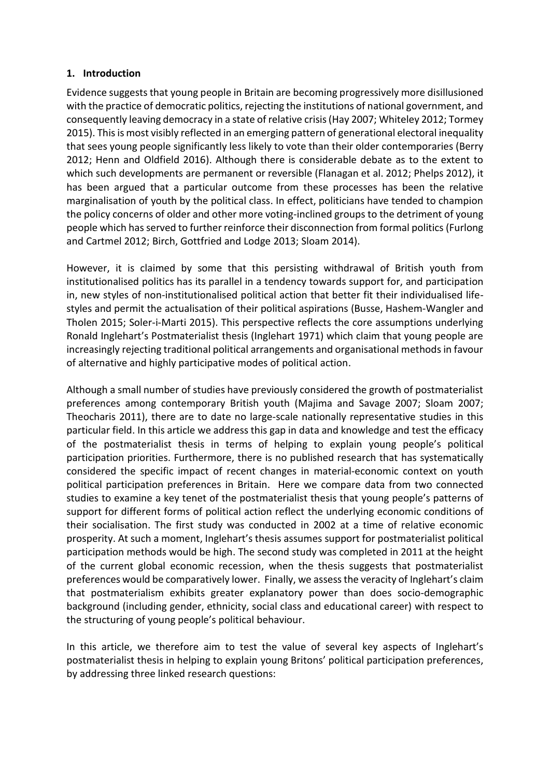#### **1. Introduction**

Evidence suggests that young people in Britain are becoming progressively more disillusioned with the practice of democratic politics, rejecting the institutions of national government, and consequently leaving democracy in a state of relative crisis (Hay 2007; Whiteley 2012; Tormey 2015). This is most visibly reflected in an emerging pattern of generational electoral inequality that sees young people significantly less likely to vote than their older contemporaries (Berry 2012; Henn and Oldfield 2016). Although there is considerable debate as to the extent to which such developments are permanent or reversible (Flanagan et al. 2012; Phelps 2012), it has been argued that a particular outcome from these processes has been the relative marginalisation of youth by the political class. In effect, politicians have tended to champion the policy concerns of older and other more voting-inclined groups to the detriment of young people which has served to further reinforce their disconnection from formal politics (Furlong and Cartmel 2012; Birch, Gottfried and Lodge 2013; Sloam 2014).

However, it is claimed by some that this persisting withdrawal of British youth from institutionalised politics has its parallel in a tendency towards support for, and participation in, new styles of non-institutionalised political action that better fit their individualised lifestyles and permit the actualisation of their political aspirations (Busse, Hashem-Wangler and Tholen 2015; Soler-i-Marti 2015). This perspective reflects the core assumptions underlying Ronald Inglehart's Postmaterialist thesis (Inglehart 1971) which claim that young people are increasingly rejecting traditional political arrangements and organisational methods in favour of alternative and highly participative modes of political action.

Although a small number of studies have previously considered the growth of postmaterialist preferences among contemporary British youth (Majima and Savage 2007; Sloam 2007; Theocharis 2011), there are to date no large-scale nationally representative studies in this particular field. In this article we address this gap in data and knowledge and test the efficacy of the postmaterialist thesis in terms of helping to explain young people's political participation priorities. Furthermore, there is no published research that has systematically considered the specific impact of recent changes in material-economic context on youth political participation preferences in Britain. Here we compare data from two connected studies to examine a key tenet of the postmaterialist thesis that young people's patterns of support for different forms of political action reflect the underlying economic conditions of their socialisation. The first study was conducted in 2002 at a time of relative economic prosperity. At such a moment, Inglehart's thesis assumes support for postmaterialist political participation methods would be high. The second study was completed in 2011 at the height of the current global economic recession, when the thesis suggests that postmaterialist preferences would be comparatively lower. Finally, we assess the veracity of Inglehart's claim that postmaterialism exhibits greater explanatory power than does socio-demographic background (including gender, ethnicity, social class and educational career) with respect to the structuring of young people's political behaviour.

In this article, we therefore aim to test the value of several key aspects of Inglehart's postmaterialist thesis in helping to explain young Britons' political participation preferences, by addressing three linked research questions: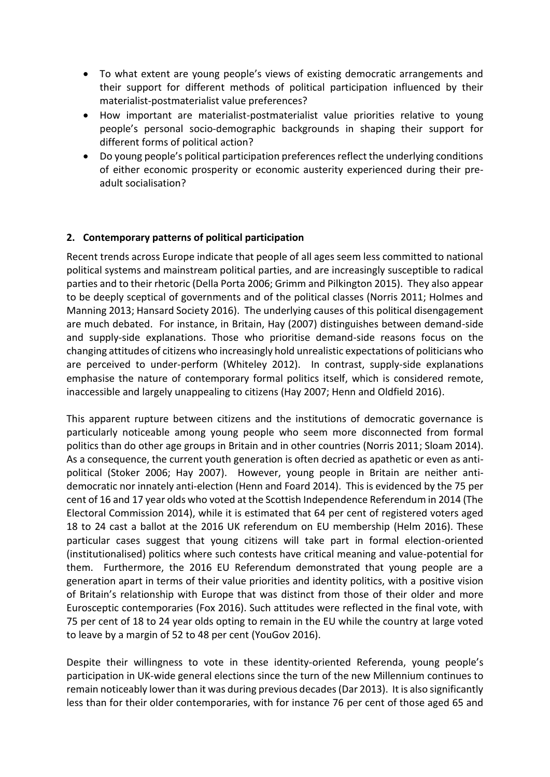- To what extent are young people's views of existing democratic arrangements and their support for different methods of political participation influenced by their materialist-postmaterialist value preferences?
- How important are materialist-postmaterialist value priorities relative to young people's personal socio-demographic backgrounds in shaping their support for different forms of political action?
- Do young people's political participation preferences reflect the underlying conditions of either economic prosperity or economic austerity experienced during their preadult socialisation?

# **2. Contemporary patterns of political participation**

Recent trends across Europe indicate that people of all ages seem less committed to national political systems and mainstream political parties, and are increasingly susceptible to radical parties and to their rhetoric (Della Porta 2006; Grimm and Pilkington 2015). They also appear to be deeply sceptical of governments and of the political classes (Norris 2011; Holmes and Manning 2013; Hansard Society 2016). The underlying causes of this political disengagement are much debated. For instance, in Britain, Hay (2007) distinguishes between demand-side and supply-side explanations. Those who prioritise demand-side reasons focus on the changing attitudes of citizens who increasingly hold unrealistic expectations of politicians who are perceived to under-perform (Whiteley 2012). In contrast, supply-side explanations emphasise the nature of contemporary formal politics itself, which is considered remote, inaccessible and largely unappealing to citizens (Hay 2007; Henn and Oldfield 2016).

This apparent rupture between citizens and the institutions of democratic governance is particularly noticeable among young people who seem more disconnected from formal politics than do other age groups in Britain and in other countries (Norris 2011; Sloam 2014). As a consequence, the current youth generation is often decried as apathetic or even as antipolitical (Stoker 2006; Hay 2007). However, young people in Britain are neither antidemocratic nor innately anti-election (Henn and Foard 2014). This is evidenced by the 75 per cent of 16 and 17 year olds who voted at the Scottish Independence Referendum in 2014 (The Electoral Commission 2014), while it is estimated that 64 per cent of registered voters aged 18 to 24 cast a ballot at the 2016 UK referendum on EU membership (Helm 2016). These particular cases suggest that young citizens will take part in formal election-oriented (institutionalised) politics where such contests have critical meaning and value-potential for them. Furthermore, the 2016 EU Referendum demonstrated that young people are a generation apart in terms of their value priorities and identity politics, with a positive vision of Britain's relationship with Europe that was distinct from those of their older and more Eurosceptic contemporaries (Fox 2016). Such attitudes were reflected in the final vote, with 75 per cent of 18 to 24 year olds opting to remain in the EU while the country at large voted to leave by a margin of 52 to 48 per cent (YouGov 2016).

Despite their willingness to vote in these identity-oriented Referenda, young people's participation in UK-wide general elections since the turn of the new Millennium continues to remain noticeably lower than it was during previous decades (Dar 2013). It is also significantly less than for their older contemporaries, with for instance 76 per cent of those aged 65 and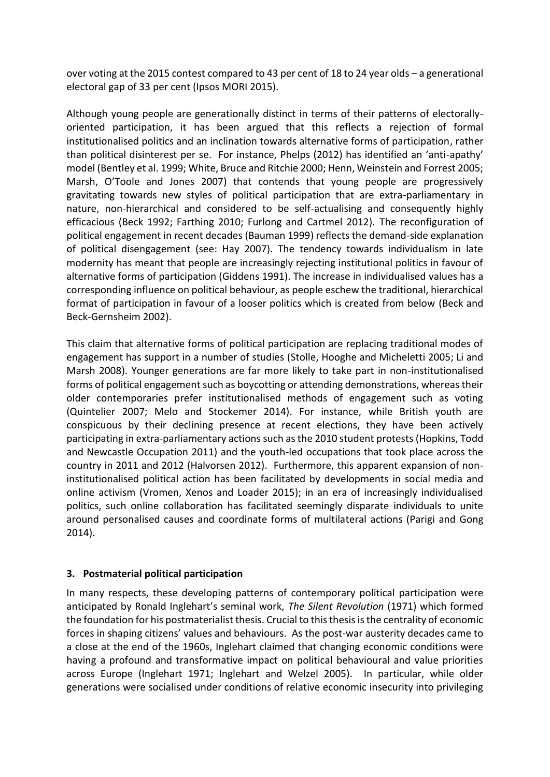over voting at the 2015 contest compared to 43 per cent of 18 to 24 year olds – a generational electoral gap of 33 per cent (Ipsos MORI 2015).

Although young people are generationally distinct in terms of their patterns of electorallyoriented participation, it has been argued that this reflects a rejection of formal institutionalised politics and an inclination towards alternative forms of participation, rather than political disinterest per se. For instance, Phelps (2012) has identified an 'anti-apathy' model (Bentley et al. 1999; White, Bruce and Ritchie 2000; Henn, Weinstein and Forrest 2005; Marsh, O'Toole and Jones 2007) that contends that young people are progressively gravitating towards new styles of political participation that are extra-parliamentary in nature, non-hierarchical and considered to be self-actualising and consequently highly efficacious (Beck 1992; Farthing 2010; Furlong and Cartmel 2012). The reconfiguration of political engagement in recent decades (Bauman 1999) reflects the demand-side explanation of political disengagement (see: Hay 2007). The tendency towards individualism in late modernity has meant that people are increasingly rejecting institutional politics in favour of alternative forms of participation (Giddens 1991). The increase in individualised values has a corresponding influence on political behaviour, as people eschew the traditional, hierarchical format of participation in favour of a looser politics which is created from below (Beck and Beck-Gernsheim 2002).

This claim that alternative forms of political participation are replacing traditional modes of engagement has support in a number of studies (Stolle, Hooghe and Micheletti 2005; Li and Marsh 2008). Younger generations are far more likely to take part in non-institutionalised forms of political engagement such as boycotting or attending demonstrations, whereas their older contemporaries prefer institutionalised methods of engagement such as voting (Quintelier 2007; Melo and Stockemer 2014). For instance, while British youth are conspicuous by their declining presence at recent elections, they have been actively participating in extra-parliamentary actions such as the 2010 student protests (Hopkins, Todd and Newcastle Occupation 2011) and the youth-led occupations that took place across the country in 2011 and 2012 (Halvorsen 2012). Furthermore, this apparent expansion of noninstitutionalised political action has been facilitated by developments in social media and online activism (Vromen, Xenos and Loader 2015); in an era of increasingly individualised politics, such online collaboration has facilitated seemingly disparate individuals to unite around personalised causes and coordinate forms of multilateral actions (Parigi and Gong 2014).

# **3. Postmaterial political participation**

In many respects, these developing patterns of contemporary political participation were anticipated by Ronald Inglehart's seminal work, *The Silent Revolution* (1971) which formed the foundation for his postmaterialist thesis. Crucial to this thesis is the centrality of economic forces in shaping citizens' values and behaviours. As the post-war austerity decades came to a close at the end of the 1960s, Inglehart claimed that changing economic conditions were having a profound and transformative impact on political behavioural and value priorities across Europe (Inglehart 1971; Inglehart and Welzel 2005). In particular, while older generations were socialised under conditions of relative economic insecurity into privileging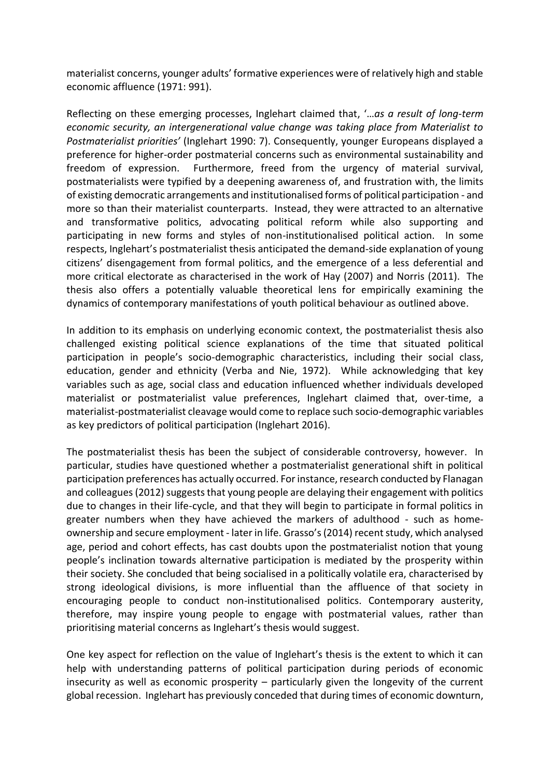materialist concerns, younger adults' formative experiences were of relatively high and stable economic affluence (1971: 991).

Reflecting on these emerging processes, Inglehart claimed that, '…*as a result of long-term economic security, an intergenerational value change was taking place from Materialist to Postmaterialist priorities'* (Inglehart 1990: 7). Consequently, younger Europeans displayed a preference for higher-order postmaterial concerns such as environmental sustainability and freedom of expression. Furthermore, freed from the urgency of material survival, postmaterialists were typified by a deepening awareness of, and frustration with, the limits of existing democratic arrangements and institutionalised forms of political participation - and more so than their materialist counterparts. Instead, they were attracted to an alternative and transformative politics, advocating political reform while also supporting and participating in new forms and styles of non-institutionalised political action. In some respects, Inglehart's postmaterialist thesis anticipated the demand-side explanation of young citizens' disengagement from formal politics, and the emergence of a less deferential and more critical electorate as characterised in the work of Hay (2007) and Norris (2011). The thesis also offers a potentially valuable theoretical lens for empirically examining the dynamics of contemporary manifestations of youth political behaviour as outlined above.

In addition to its emphasis on underlying economic context, the postmaterialist thesis also challenged existing political science explanations of the time that situated political participation in people's socio-demographic characteristics, including their social class, education, gender and ethnicity (Verba and Nie, 1972). While acknowledging that key variables such as age, social class and education influenced whether individuals developed materialist or postmaterialist value preferences, Inglehart claimed that, over-time, a materialist-postmaterialist cleavage would come to replace such socio-demographic variables as key predictors of political participation (Inglehart 2016).

The postmaterialist thesis has been the subject of considerable controversy, however. In particular, studies have questioned whether a postmaterialist generational shift in political participation preferences has actually occurred. For instance, research conducted by Flanagan and colleagues (2012) suggests that young people are delaying their engagement with politics due to changes in their life-cycle, and that they will begin to participate in formal politics in greater numbers when they have achieved the markers of adulthood - such as homeownership and secure employment - later in life. Grasso's (2014) recent study, which analysed age, period and cohort effects, has cast doubts upon the postmaterialist notion that young people's inclination towards alternative participation is mediated by the prosperity within their society. She concluded that being socialised in a politically volatile era, characterised by strong ideological divisions, is more influential than the affluence of that society in encouraging people to conduct non-institutionalised politics. Contemporary austerity, therefore, may inspire young people to engage with postmaterial values, rather than prioritising material concerns as Inglehart's thesis would suggest.

One key aspect for reflection on the value of Inglehart's thesis is the extent to which it can help with understanding patterns of political participation during periods of economic insecurity as well as economic prosperity – particularly given the longevity of the current global recession. Inglehart has previously conceded that during times of economic downturn,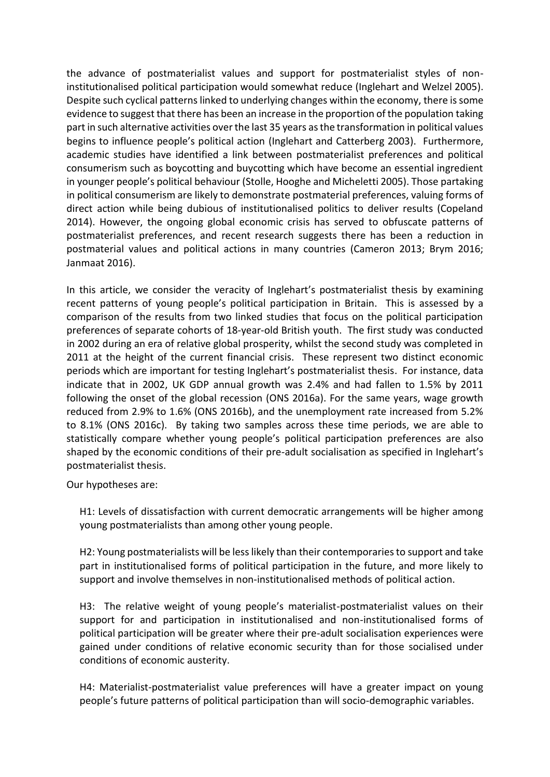the advance of postmaterialist values and support for postmaterialist styles of noninstitutionalised political participation would somewhat reduce (Inglehart and Welzel 2005). Despite such cyclical patterns linked to underlying changes within the economy, there is some evidence to suggest that there has been an increase in the proportion of the population taking part in such alternative activities over the last 35 years as the transformation in political values begins to influence people's political action (Inglehart and Catterberg 2003). Furthermore, academic studies have identified a link between postmaterialist preferences and political consumerism such as boycotting and buycotting which have become an essential ingredient in younger people's political behaviour (Stolle, Hooghe and Micheletti 2005). Those partaking in political consumerism are likely to demonstrate postmaterial preferences, valuing forms of direct action while being dubious of institutionalised politics to deliver results (Copeland 2014). However, the ongoing global economic crisis has served to obfuscate patterns of postmaterialist preferences, and recent research suggests there has been a reduction in postmaterial values and political actions in many countries (Cameron 2013; Brym 2016; Janmaat 2016).

In this article, we consider the veracity of Inglehart's postmaterialist thesis by examining recent patterns of young people's political participation in Britain. This is assessed by a comparison of the results from two linked studies that focus on the political participation preferences of separate cohorts of 18-year-old British youth. The first study was conducted in 2002 during an era of relative global prosperity, whilst the second study was completed in 2011 at the height of the current financial crisis. These represent two distinct economic periods which are important for testing Inglehart's postmaterialist thesis. For instance, data indicate that in 2002, UK GDP annual growth was 2.4% and had fallen to 1.5% by 2011 following the onset of the global recession (ONS 2016a). For the same years, wage growth reduced from 2.9% to 1.6% (ONS 2016b), and the unemployment rate increased from 5.2% to 8.1% (ONS 2016c). By taking two samples across these time periods, we are able to statistically compare whether young people's political participation preferences are also shaped by the economic conditions of their pre-adult socialisation as specified in Inglehart's postmaterialist thesis.

Our hypotheses are:

H1: Levels of dissatisfaction with current democratic arrangements will be higher among young postmaterialists than among other young people.

H2: Young postmaterialists will be less likely than their contemporaries to support and take part in institutionalised forms of political participation in the future, and more likely to support and involve themselves in non-institutionalised methods of political action.

H3: The relative weight of young people's materialist-postmaterialist values on their support for and participation in institutionalised and non-institutionalised forms of political participation will be greater where their pre-adult socialisation experiences were gained under conditions of relative economic security than for those socialised under conditions of economic austerity.

H4: Materialist-postmaterialist value preferences will have a greater impact on young people's future patterns of political participation than will socio-demographic variables.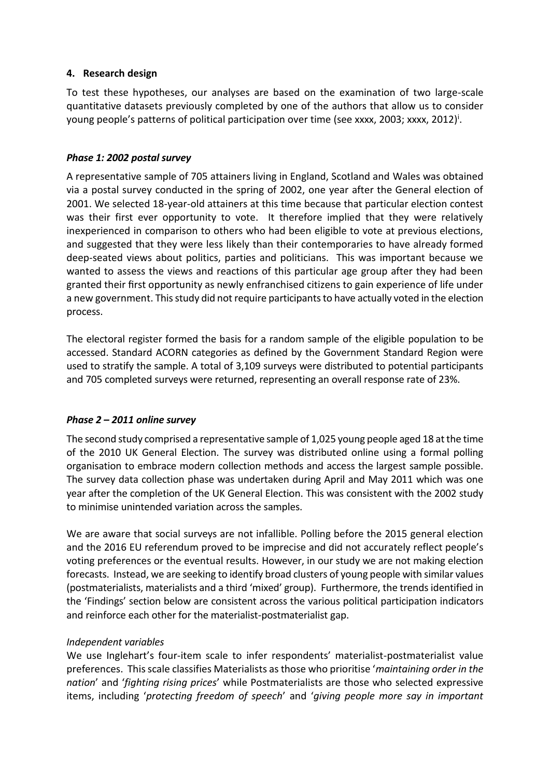#### **4. Research design**

To test these hypotheses, our analyses are based on the examination of two large-scale quantitative datasets previously completed by one of the authors that allow us to consider young people's patterns of political participation over time (see xxxx, 2003; xxxx, 2012)<sup>i</sup>.

#### *Phase 1: 2002 postal survey*

A representative sample of 705 attainers living in England, Scotland and Wales was obtained via a postal survey conducted in the spring of 2002, one year after the General election of 2001. We selected 18-year-old attainers at this time because that particular election contest was their first ever opportunity to vote. It therefore implied that they were relatively inexperienced in comparison to others who had been eligible to vote at previous elections, and suggested that they were less likely than their contemporaries to have already formed deep-seated views about politics, parties and politicians. This was important because we wanted to assess the views and reactions of this particular age group after they had been granted their first opportunity as newly enfranchised citizens to gain experience of life under a new government. This study did not require participants to have actually voted in the election process.

The electoral register formed the basis for a random sample of the eligible population to be accessed. Standard ACORN categories as defined by the Government Standard Region were used to stratify the sample. A total of 3,109 surveys were distributed to potential participants and 705 completed surveys were returned, representing an overall response rate of 23%.

# *Phase 2 – 2011 online survey*

The second study comprised a representative sample of 1,025 young people aged 18 at the time of the 2010 UK General Election. The survey was distributed online using a formal polling organisation to embrace modern collection methods and access the largest sample possible. The survey data collection phase was undertaken during April and May 2011 which was one year after the completion of the UK General Election. This was consistent with the 2002 study to minimise unintended variation across the samples.

We are aware that social surveys are not infallible. Polling before the 2015 general election and the 2016 EU referendum proved to be imprecise and did not accurately reflect people's voting preferences or the eventual results. However, in our study we are not making election forecasts. Instead, we are seeking to identify broad clusters of young people with similar values (postmaterialists, materialists and a third 'mixed' group). Furthermore, the trends identified in the 'Findings' section below are consistent across the various political participation indicators and reinforce each other for the materialist-postmaterialist gap.

#### *Independent variables*

We use Inglehart's four-item scale to infer respondents' materialist-postmaterialist value preferences. This scale classifies Materialists as those who prioritise '*maintaining order in the nation*' and '*fighting rising prices*' while Postmaterialists are those who selected expressive items, including '*protecting freedom of speech*' and '*giving people more say in important*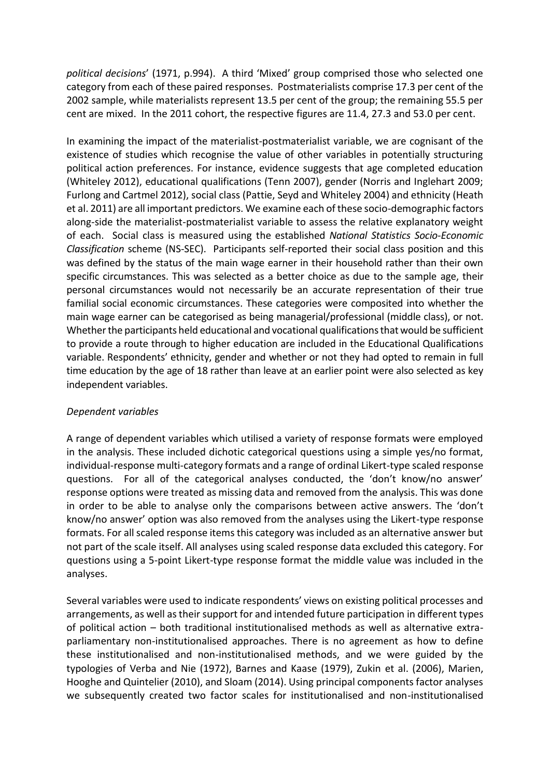*political decisions*' (1971, p.994). A third 'Mixed' group comprised those who selected one category from each of these paired responses. Postmaterialists comprise 17.3 per cent of the 2002 sample, while materialists represent 13.5 per cent of the group; the remaining 55.5 per cent are mixed. In the 2011 cohort, the respective figures are 11.4, 27.3 and 53.0 per cent.

In examining the impact of the materialist-postmaterialist variable, we are cognisant of the existence of studies which recognise the value of other variables in potentially structuring political action preferences. For instance, evidence suggests that age completed education (Whiteley 2012), educational qualifications (Tenn 2007), gender (Norris and Inglehart 2009; Furlong and Cartmel 2012), social class (Pattie, Seyd and Whiteley 2004) and ethnicity (Heath et al. 2011) are all important predictors. We examine each of these socio-demographic factors along-side the materialist-postmaterialist variable to assess the relative explanatory weight of each. Social class is measured using the established *National Statistics Socio-Economic Classification* scheme (NS-SEC). Participants self-reported their social class position and this was defined by the status of the main wage earner in their household rather than their own specific circumstances. This was selected as a better choice as due to the sample age, their personal circumstances would not necessarily be an accurate representation of their true familial social economic circumstances. These categories were composited into whether the main wage earner can be categorised as being managerial/professional (middle class), or not. Whether the participants held educational and vocational qualifications that would be sufficient to provide a route through to higher education are included in the Educational Qualifications variable. Respondents' ethnicity, gender and whether or not they had opted to remain in full time education by the age of 18 rather than leave at an earlier point were also selected as key independent variables.

#### *Dependent variables*

A range of dependent variables which utilised a variety of response formats were employed in the analysis. These included dichotic categorical questions using a simple yes/no format, individual-response multi-category formats and a range of ordinal Likert-type scaled response questions. For all of the categorical analyses conducted, the 'don't know/no answer' response options were treated as missing data and removed from the analysis. This was done in order to be able to analyse only the comparisons between active answers. The 'don't know/no answer' option was also removed from the analyses using the Likert-type response formats. For all scaled response items this category was included as an alternative answer but not part of the scale itself. All analyses using scaled response data excluded this category. For questions using a 5-point Likert-type response format the middle value was included in the analyses.

Several variables were used to indicate respondents' views on existing political processes and arrangements, as well as their support for and intended future participation in different types of political action – both traditional institutionalised methods as well as alternative extraparliamentary non-institutionalised approaches. There is no agreement as how to define these institutionalised and non-institutionalised methods, and we were guided by the typologies of Verba and Nie (1972), Barnes and Kaase (1979), Zukin et al. (2006), Marien, Hooghe and Quintelier (2010), and Sloam (2014). Using principal components factor analyses we subsequently created two factor scales for institutionalised and non-institutionalised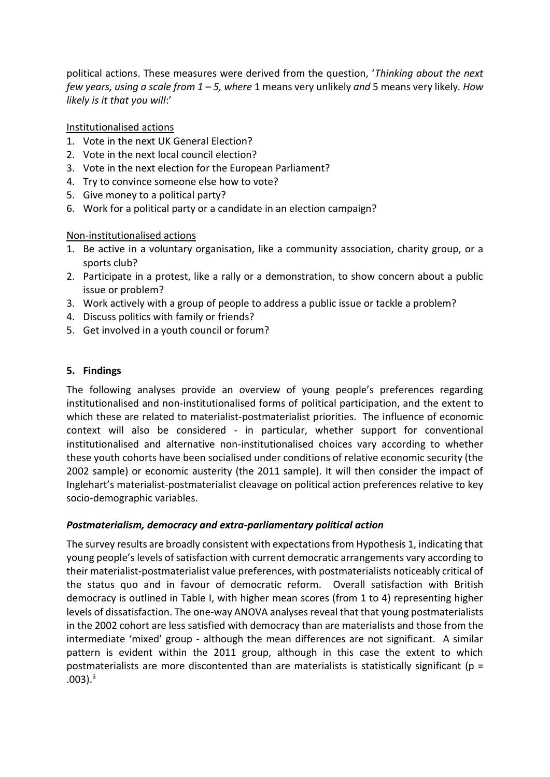political actions. These measures were derived from the question, '*Thinking about the next few years, using a scale from 1 – 5, where* 1 means very unlikely *and* 5 means very likely*. How likely is it that you will*:'

# Institutionalised actions

- 1. Vote in the next UK General Election?
- 2. Vote in the next local council election?
- 3. Vote in the next election for the European Parliament?
- 4. Try to convince someone else how to vote?
- 5. Give money to a political party?
- 6. Work for a political party or a candidate in an election campaign?

# Non-institutionalised actions

- 1. Be active in a voluntary organisation, like a community association, charity group, or a sports club?
- 2. Participate in a protest, like a rally or a demonstration, to show concern about a public issue or problem?
- 3. Work actively with a group of people to address a public issue or tackle a problem?
- 4. Discuss politics with family or friends?
- 5. Get involved in a youth council or forum?

# **5. Findings**

The following analyses provide an overview of young people's preferences regarding institutionalised and non-institutionalised forms of political participation, and the extent to which these are related to materialist-postmaterialist priorities. The influence of economic context will also be considered - in particular, whether support for conventional institutionalised and alternative non-institutionalised choices vary according to whether these youth cohorts have been socialised under conditions of relative economic security (the 2002 sample) or economic austerity (the 2011 sample). It will then consider the impact of Inglehart's materialist-postmaterialist cleavage on political action preferences relative to key socio-demographic variables.

# *Postmaterialism, democracy and extra-parliamentary political action*

The survey results are broadly consistent with expectations from Hypothesis 1, indicating that young people's levels of satisfaction with current democratic arrangements vary according to their materialist-postmaterialist value preferences, with postmaterialists noticeably critical of the status quo and in favour of democratic reform. Overall satisfaction with British democracy is outlined in Table I, with higher mean scores (from 1 to 4) representing higher levels of dissatisfaction. The one-way ANOVA analyses reveal that that young postmaterialists in the 2002 cohort are less satisfied with democracy than are materialists and those from the intermediate 'mixed' group - although the mean differences are not significant. A similar pattern is evident within the 2011 group, although in this case the extent to which postmaterialists are more discontented than are materialists is statistically significant ( $p =$  $.003$ ). $^{ii}$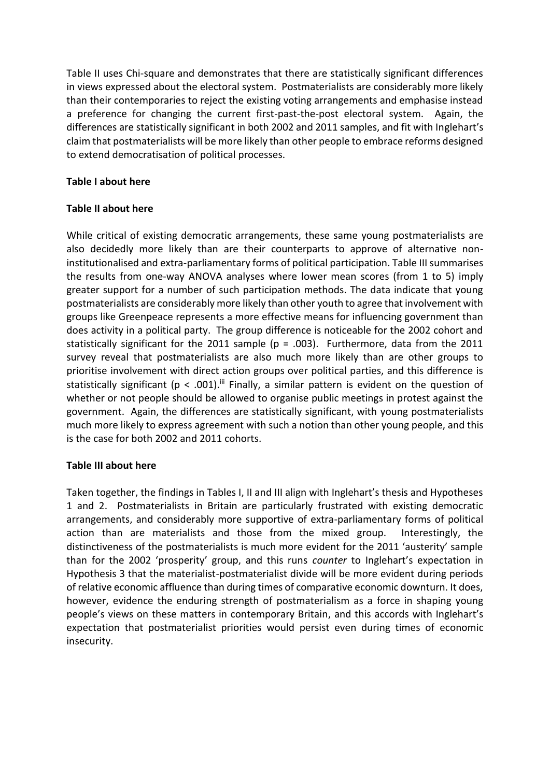Table II uses Chi-square and demonstrates that there are statistically significant differences in views expressed about the electoral system. Postmaterialists are considerably more likely than their contemporaries to reject the existing voting arrangements and emphasise instead a preference for changing the current first-past-the-post electoral system. Again, the differences are statistically significant in both 2002 and 2011 samples, and fit with Inglehart's claim that postmaterialists will be more likely than other people to embrace reforms designed to extend democratisation of political processes.

#### **Table I about here**

#### **Table II about here**

While critical of existing democratic arrangements, these same young postmaterialists are also decidedly more likely than are their counterparts to approve of alternative noninstitutionalised and extra-parliamentary forms of political participation. Table III summarises the results from one-way ANOVA analyses where lower mean scores (from 1 to 5) imply greater support for a number of such participation methods. The data indicate that young postmaterialists are considerably more likely than other youth to agree that involvement with groups like Greenpeace represents a more effective means for influencing government than does activity in a political party. The group difference is noticeable for the 2002 cohort and statistically significant for the 2011 sample ( $p = .003$ ). Furthermore, data from the 2011 survey reveal that postmaterialists are also much more likely than are other groups to prioritise involvement with direct action groups over political parties, and this difference is statistically significant ( $p < .001$ ).<sup>iii</sup> Finally, a similar pattern is evident on the question of whether or not people should be allowed to organise public meetings in protest against the government. Again, the differences are statistically significant, with young postmaterialists much more likely to express agreement with such a notion than other young people, and this is the case for both 2002 and 2011 cohorts.

# **Table III about here**

Taken together, the findings in Tables I, II and III align with Inglehart's thesis and Hypotheses 1 and 2. Postmaterialists in Britain are particularly frustrated with existing democratic arrangements, and considerably more supportive of extra-parliamentary forms of political action than are materialists and those from the mixed group. Interestingly, the distinctiveness of the postmaterialists is much more evident for the 2011 'austerity' sample than for the 2002 'prosperity' group, and this runs *counter* to Inglehart's expectation in Hypothesis 3 that the materialist-postmaterialist divide will be more evident during periods of relative economic affluence than during times of comparative economic downturn. It does, however, evidence the enduring strength of postmaterialism as a force in shaping young people's views on these matters in contemporary Britain, and this accords with Inglehart's expectation that postmaterialist priorities would persist even during times of economic insecurity.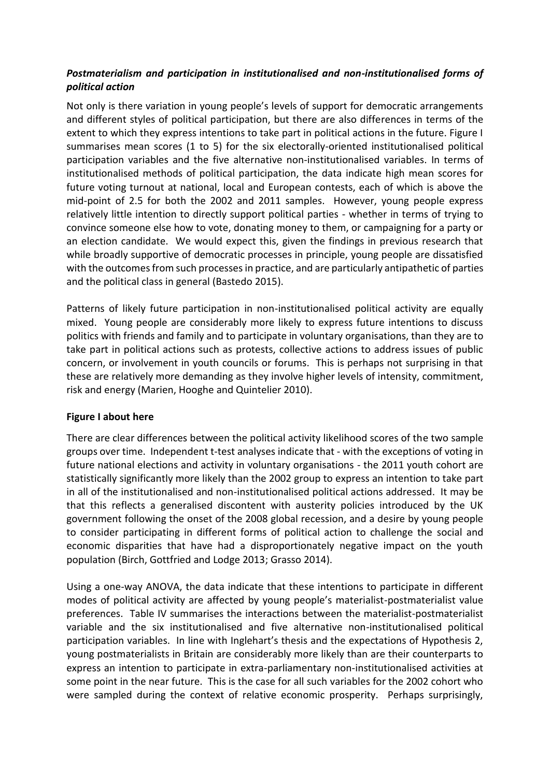# *Postmaterialism and participation in institutionalised and non-institutionalised forms of political action*

Not only is there variation in young people's levels of support for democratic arrangements and different styles of political participation, but there are also differences in terms of the extent to which they express intentions to take part in political actions in the future. Figure I summarises mean scores (1 to 5) for the six electorally-oriented institutionalised political participation variables and the five alternative non-institutionalised variables. In terms of institutionalised methods of political participation, the data indicate high mean scores for future voting turnout at national, local and European contests, each of which is above the mid-point of 2.5 for both the 2002 and 2011 samples. However, young people express relatively little intention to directly support political parties - whether in terms of trying to convince someone else how to vote, donating money to them, or campaigning for a party or an election candidate. We would expect this, given the findings in previous research that while broadly supportive of democratic processes in principle, young people are dissatisfied with the outcomes from such processes in practice, and are particularly antipathetic of parties and the political class in general (Bastedo 2015).

Patterns of likely future participation in non-institutionalised political activity are equally mixed. Young people are considerably more likely to express future intentions to discuss politics with friends and family and to participate in voluntary organisations, than they are to take part in political actions such as protests, collective actions to address issues of public concern, or involvement in youth councils or forums. This is perhaps not surprising in that these are relatively more demanding as they involve higher levels of intensity, commitment, risk and energy (Marien, Hooghe and Quintelier 2010).

# **Figure I about here**

There are clear differences between the political activity likelihood scores of the two sample groups over time. Independent t-test analyses indicate that - with the exceptions of voting in future national elections and activity in voluntary organisations - the 2011 youth cohort are statistically significantly more likely than the 2002 group to express an intention to take part in all of the institutionalised and non-institutionalised political actions addressed. It may be that this reflects a generalised discontent with austerity policies introduced by the UK government following the onset of the 2008 global recession, and a desire by young people to consider participating in different forms of political action to challenge the social and economic disparities that have had a disproportionately negative impact on the youth population (Birch, Gottfried and Lodge 2013; Grasso 2014).

Using a one-way ANOVA, the data indicate that these intentions to participate in different modes of political activity are affected by young people's materialist-postmaterialist value preferences. Table IV summarises the interactions between the materialist-postmaterialist variable and the six institutionalised and five alternative non-institutionalised political participation variables. In line with Inglehart's thesis and the expectations of Hypothesis 2, young postmaterialists in Britain are considerably more likely than are their counterparts to express an intention to participate in extra-parliamentary non-institutionalised activities at some point in the near future. This is the case for all such variables for the 2002 cohort who were sampled during the context of relative economic prosperity. Perhaps surprisingly,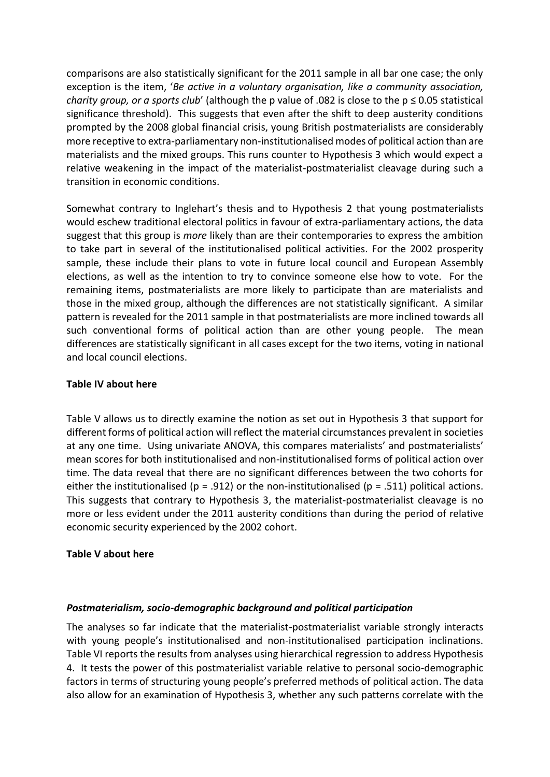comparisons are also statistically significant for the 2011 sample in all bar one case; the only exception is the item, '*Be active in a voluntary organisation, like a community association, charity group, or a sports club'* (although the p value of .082 is close to the  $p \le 0.05$  statistical significance threshold). This suggests that even after the shift to deep austerity conditions prompted by the 2008 global financial crisis, young British postmaterialists are considerably more receptive to extra-parliamentary non-institutionalised modes of political action than are materialists and the mixed groups. This runs counter to Hypothesis 3 which would expect a relative weakening in the impact of the materialist-postmaterialist cleavage during such a transition in economic conditions.

Somewhat contrary to Inglehart's thesis and to Hypothesis 2 that young postmaterialists would eschew traditional electoral politics in favour of extra-parliamentary actions, the data suggest that this group is *more* likely than are their contemporaries to express the ambition to take part in several of the institutionalised political activities. For the 2002 prosperity sample, these include their plans to vote in future local council and European Assembly elections, as well as the intention to try to convince someone else how to vote. For the remaining items, postmaterialists are more likely to participate than are materialists and those in the mixed group, although the differences are not statistically significant. A similar pattern is revealed for the 2011 sample in that postmaterialists are more inclined towards all such conventional forms of political action than are other young people. The mean differences are statistically significant in all cases except for the two items, voting in national and local council elections.

#### **Table IV about here**

Table V allows us to directly examine the notion as set out in Hypothesis 3 that support for different forms of political action will reflect the material circumstances prevalent in societies at any one time. Using univariate ANOVA, this compares materialists' and postmaterialists' mean scores for both institutionalised and non-institutionalised forms of political action over time. The data reveal that there are no significant differences between the two cohorts for either the institutionalised (p = .912) or the non-institutionalised (p = .511) political actions. This suggests that contrary to Hypothesis 3, the materialist-postmaterialist cleavage is no more or less evident under the 2011 austerity conditions than during the period of relative economic security experienced by the 2002 cohort.

# **Table V about here**

# *Postmaterialism, socio-demographic background and political participation*

The analyses so far indicate that the materialist-postmaterialist variable strongly interacts with young people's institutionalised and non-institutionalised participation inclinations. Table VI reports the results from analyses using hierarchical regression to address Hypothesis 4. It tests the power of this postmaterialist variable relative to personal socio-demographic factors in terms of structuring young people's preferred methods of political action. The data also allow for an examination of Hypothesis 3, whether any such patterns correlate with the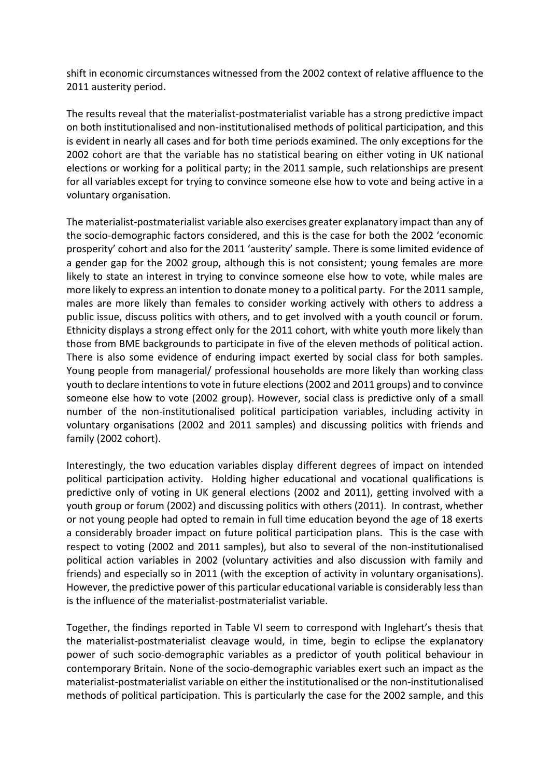shift in economic circumstances witnessed from the 2002 context of relative affluence to the 2011 austerity period.

The results reveal that the materialist-postmaterialist variable has a strong predictive impact on both institutionalised and non-institutionalised methods of political participation, and this is evident in nearly all cases and for both time periods examined. The only exceptions for the 2002 cohort are that the variable has no statistical bearing on either voting in UK national elections or working for a political party; in the 2011 sample, such relationships are present for all variables except for trying to convince someone else how to vote and being active in a voluntary organisation.

The materialist-postmaterialist variable also exercises greater explanatory impact than any of the socio-demographic factors considered, and this is the case for both the 2002 'economic prosperity' cohort and also for the 2011 'austerity' sample. There is some limited evidence of a gender gap for the 2002 group, although this is not consistent; young females are more likely to state an interest in trying to convince someone else how to vote, while males are more likely to express an intention to donate money to a political party. For the 2011 sample, males are more likely than females to consider working actively with others to address a public issue, discuss politics with others, and to get involved with a youth council or forum. Ethnicity displays a strong effect only for the 2011 cohort, with white youth more likely than those from BME backgrounds to participate in five of the eleven methods of political action. There is also some evidence of enduring impact exerted by social class for both samples. Young people from managerial/ professional households are more likely than working class youth to declare intentions to vote in future elections (2002 and 2011 groups) and to convince someone else how to vote (2002 group). However, social class is predictive only of a small number of the non-institutionalised political participation variables, including activity in voluntary organisations (2002 and 2011 samples) and discussing politics with friends and family (2002 cohort).

Interestingly, the two education variables display different degrees of impact on intended political participation activity. Holding higher educational and vocational qualifications is predictive only of voting in UK general elections (2002 and 2011), getting involved with a youth group or forum (2002) and discussing politics with others (2011). In contrast, whether or not young people had opted to remain in full time education beyond the age of 18 exerts a considerably broader impact on future political participation plans. This is the case with respect to voting (2002 and 2011 samples), but also to several of the non-institutionalised political action variables in 2002 (voluntary activities and also discussion with family and friends) and especially so in 2011 (with the exception of activity in voluntary organisations). However, the predictive power of this particular educational variable is considerably less than is the influence of the materialist-postmaterialist variable.

Together, the findings reported in Table VI seem to correspond with Inglehart's thesis that the materialist-postmaterialist cleavage would, in time, begin to eclipse the explanatory power of such socio-demographic variables as a predictor of youth political behaviour in contemporary Britain. None of the socio-demographic variables exert such an impact as the materialist-postmaterialist variable on either the institutionalised or the non-institutionalised methods of political participation. This is particularly the case for the 2002 sample, and this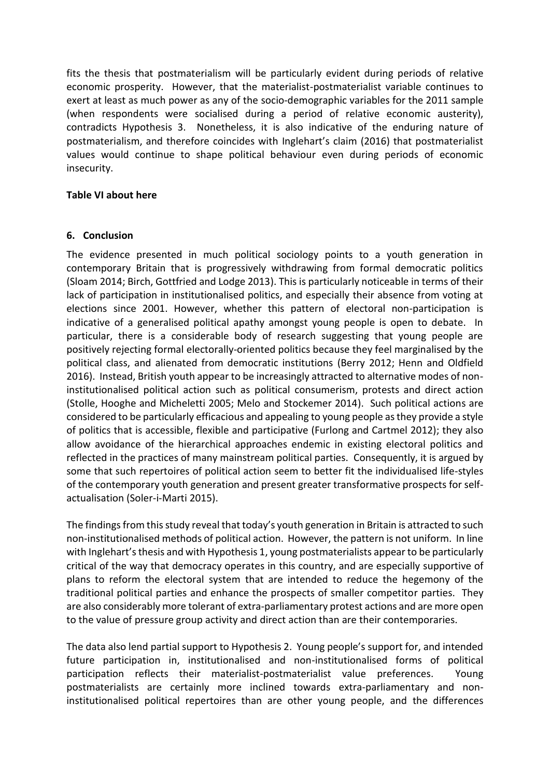fits the thesis that postmaterialism will be particularly evident during periods of relative economic prosperity. However, that the materialist-postmaterialist variable continues to exert at least as much power as any of the socio-demographic variables for the 2011 sample (when respondents were socialised during a period of relative economic austerity), contradicts Hypothesis 3. Nonetheless, it is also indicative of the enduring nature of postmaterialism, and therefore coincides with Inglehart's claim (2016) that postmaterialist values would continue to shape political behaviour even during periods of economic insecurity.

#### **Table VI about here**

#### **6. Conclusion**

The evidence presented in much political sociology points to a youth generation in contemporary Britain that is progressively withdrawing from formal democratic politics (Sloam 2014; Birch, Gottfried and Lodge 2013). This is particularly noticeable in terms of their lack of participation in institutionalised politics, and especially their absence from voting at elections since 2001. However, whether this pattern of electoral non-participation is indicative of a generalised political apathy amongst young people is open to debate. In particular, there is a considerable body of research suggesting that young people are positively rejecting formal electorally-oriented politics because they feel marginalised by the political class, and alienated from democratic institutions (Berry 2012; Henn and Oldfield 2016). Instead, British youth appear to be increasingly attracted to alternative modes of noninstitutionalised political action such as political consumerism, protests and direct action (Stolle, Hooghe and Micheletti 2005; Melo and Stockemer 2014). Such political actions are considered to be particularly efficacious and appealing to young people as they provide a style of politics that is accessible, flexible and participative (Furlong and Cartmel 2012); they also allow avoidance of the hierarchical approaches endemic in existing electoral politics and reflected in the practices of many mainstream political parties. Consequently, it is argued by some that such repertoires of political action seem to better fit the individualised life-styles of the contemporary youth generation and present greater transformative prospects for selfactualisation (Soler-i-Marti 2015).

The findings from this study reveal that today's youth generation in Britain is attracted to such non-institutionalised methods of political action. However, the pattern is not uniform. In line with Inglehart's thesis and with Hypothesis 1, young postmaterialists appear to be particularly critical of the way that democracy operates in this country, and are especially supportive of plans to reform the electoral system that are intended to reduce the hegemony of the traditional political parties and enhance the prospects of smaller competitor parties. They are also considerably more tolerant of extra-parliamentary protest actions and are more open to the value of pressure group activity and direct action than are their contemporaries.

The data also lend partial support to Hypothesis 2. Young people's support for, and intended future participation in, institutionalised and non-institutionalised forms of political participation reflects their materialist-postmaterialist value preferences. Young postmaterialists are certainly more inclined towards extra-parliamentary and noninstitutionalised political repertoires than are other young people, and the differences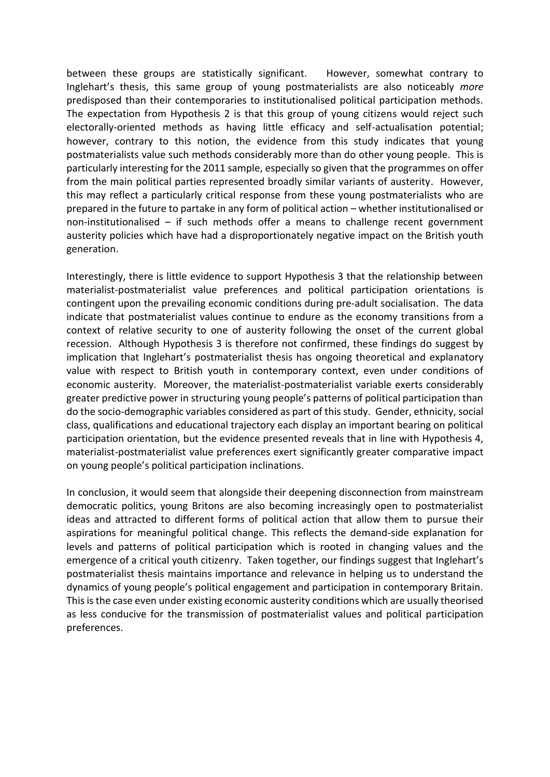between these groups are statistically significant. However, somewhat contrary to Inglehart's thesis, this same group of young postmaterialists are also noticeably *more* predisposed than their contemporaries to institutionalised political participation methods. The expectation from Hypothesis 2 is that this group of young citizens would reject such electorally-oriented methods as having little efficacy and self-actualisation potential; however, contrary to this notion, the evidence from this study indicates that young postmaterialists value such methods considerably more than do other young people. This is particularly interesting for the 2011 sample, especially so given that the programmes on offer from the main political parties represented broadly similar variants of austerity. However, this may reflect a particularly critical response from these young postmaterialists who are prepared in the future to partake in any form of political action – whether institutionalised or non-institutionalised – if such methods offer a means to challenge recent government austerity policies which have had a disproportionately negative impact on the British youth generation.

Interestingly, there is little evidence to support Hypothesis 3 that the relationship between materialist-postmaterialist value preferences and political participation orientations is contingent upon the prevailing economic conditions during pre-adult socialisation. The data indicate that postmaterialist values continue to endure as the economy transitions from a context of relative security to one of austerity following the onset of the current global recession. Although Hypothesis 3 is therefore not confirmed, these findings do suggest by implication that Inglehart's postmaterialist thesis has ongoing theoretical and explanatory value with respect to British youth in contemporary context, even under conditions of economic austerity. Moreover, the materialist-postmaterialist variable exerts considerably greater predictive power in structuring young people's patterns of political participation than do the socio-demographic variables considered as part of this study. Gender, ethnicity, social class, qualifications and educational trajectory each display an important bearing on political participation orientation, but the evidence presented reveals that in line with Hypothesis 4, materialist-postmaterialist value preferences exert significantly greater comparative impact on young people's political participation inclinations.

In conclusion, it would seem that alongside their deepening disconnection from mainstream democratic politics, young Britons are also becoming increasingly open to postmaterialist ideas and attracted to different forms of political action that allow them to pursue their aspirations for meaningful political change. This reflects the demand-side explanation for levels and patterns of political participation which is rooted in changing values and the emergence of a critical youth citizenry. Taken together, our findings suggest that Inglehart's postmaterialist thesis maintains importance and relevance in helping us to understand the dynamics of young people's political engagement and participation in contemporary Britain. This is the case even under existing economic austerity conditions which are usually theorised as less conducive for the transmission of postmaterialist values and political participation preferences.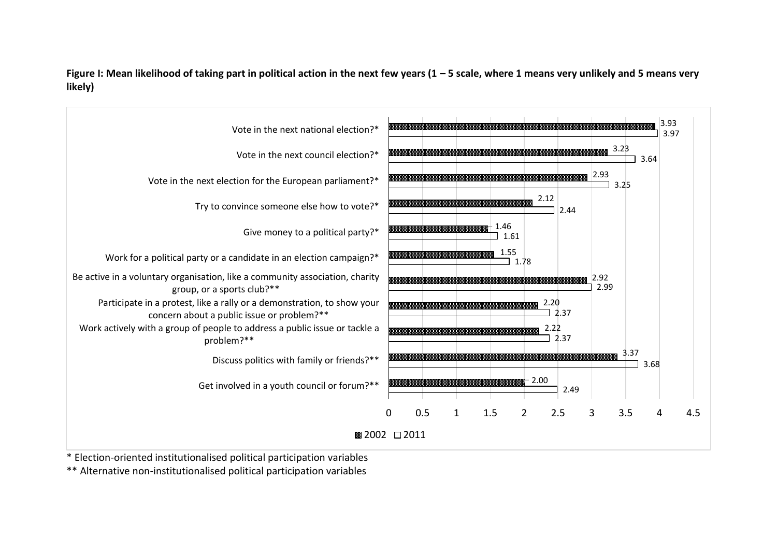Figure I: Mean likelihood of taking part in political action in the next few years (1 – 5 scale, where 1 means very unlikely and 5 means very **likely)**



\* Election-oriented institutionalised political participation variables

\*\* Alternative non-institutionalised political participation variables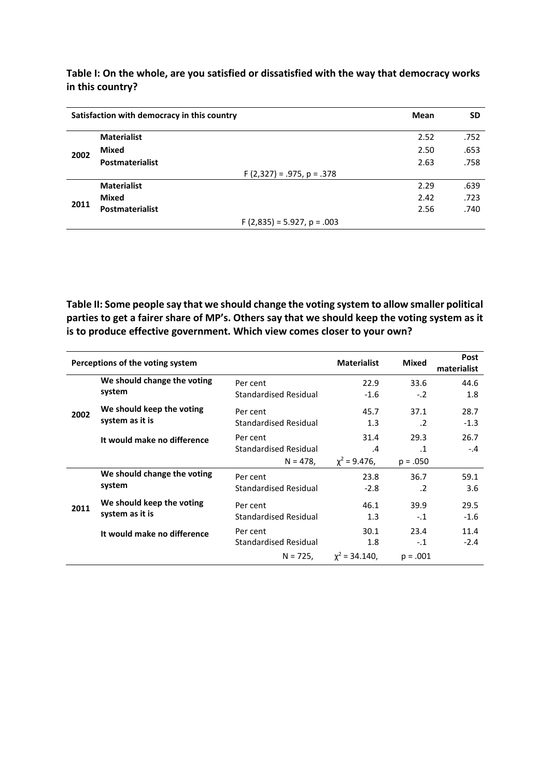**Table I: On the whole, are you satisfied or dissatisfied with the way that democracy works in this country?**

|      | Satisfaction with democracy in this country | Mean                            | <b>SD</b> |
|------|---------------------------------------------|---------------------------------|-----------|
| 2002 | <b>Materialist</b>                          | 2.52                            | .752      |
|      | Mixed                                       | 2.50                            | .653      |
|      | <b>Postmaterialist</b>                      | 2.63                            | .758      |
|      |                                             | $F(2,327) = .975, p = .378$     |           |
|      | <b>Materialist</b>                          | 2.29                            | .639      |
| 2011 | Mixed                                       | 2.42                            | .723      |
|      | <b>Postmaterialist</b>                      | 2.56                            | .740      |
|      |                                             | $F(2,835) = 5.927$ , $p = .003$ |           |

**Table II: Some people say that we should change the voting system to allow smaller political parties to get a fairer share of MP's. Others say that we should keep the voting system as it is to produce effective government. Which view comes closer to your own?**

|      | Perceptions of the voting system | <b>Materialist</b>           | <b>Mixed</b>      | Post<br>materialist |        |
|------|----------------------------------|------------------------------|-------------------|---------------------|--------|
|      | We should change the voting      | Per cent                     | 22.9              | 33.6                | 44.6   |
| 2002 | system                           | <b>Standardised Residual</b> | $-1.6$            | $-.2$               | 1.8    |
|      | We should keep the voting        | Per cent                     | 45.7              | 37.1                | 28.7   |
|      | system as it is                  | Standardised Residual        | 1.3               | $\cdot$ .2          | $-1.3$ |
|      | It would make no difference      | Per cent                     | 31.4              | 29.3                | 26.7   |
|      |                                  | Standardised Residual        | $\cdot$           | $\cdot$ 1           | $-.4$  |
|      |                                  | $N = 478$ ,                  | $\chi^2$ = 9.476, | $p = .050$          |        |
|      | We should change the voting      | Per cent                     | 23.8              | 36.7                | 59.1   |
|      | system                           | <b>Standardised Residual</b> | $-2.8$            | $\cdot$ .2          | 3.6    |
| 2011 | We should keep the voting        | Per cent                     | 46.1              | 39.9                | 29.5   |
|      | system as it is                  | Standardised Residual        | 1.3               | $-.1$               | $-1.6$ |
|      | It would make no difference      | Per cent                     | 30.1              | 23.4                | 11.4   |
|      |                                  | <b>Standardised Residual</b> | 1.8               | $-.1$               | $-2.4$ |
|      |                                  | $N = 725$ ,                  | $x^2 = 34.140$ ,  | $p = .001$          |        |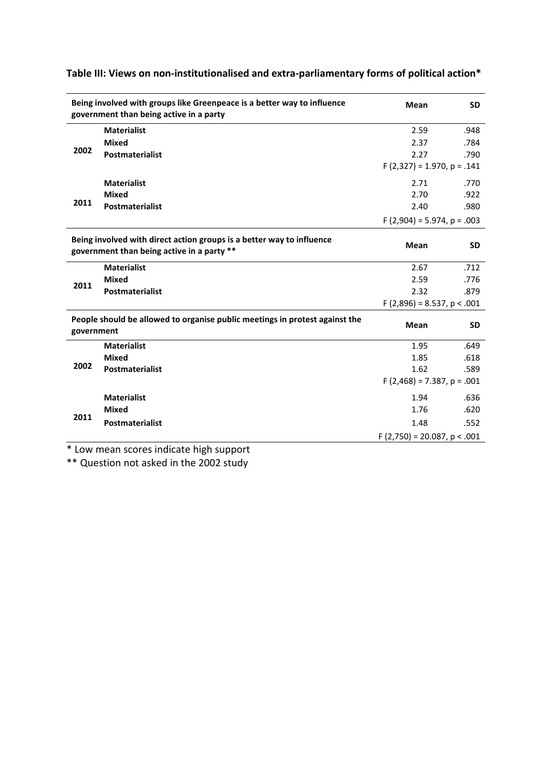|            | Being involved with groups like Greenpeace is a better way to influence<br>government than being active in a party  |                                  | <b>SD</b> |
|------------|---------------------------------------------------------------------------------------------------------------------|----------------------------------|-----------|
|            | <b>Materialist</b>                                                                                                  | 2.59                             | .948      |
|            | <b>Mixed</b>                                                                                                        | 2.37                             | .784      |
| 2002       | Postmaterialist                                                                                                     | 2.27                             | .790      |
|            |                                                                                                                     | $F(2,327) = 1.970, p = .141$     |           |
|            | <b>Materialist</b>                                                                                                  | 2.71                             | .770      |
|            | <b>Mixed</b>                                                                                                        | 2.70                             | .922      |
| 2011       | Postmaterialist                                                                                                     | 2.40                             | .980      |
|            |                                                                                                                     | $F(2,904) = 5.974$ , $p = .003$  |           |
|            |                                                                                                                     |                                  |           |
|            | Being involved with direct action groups is a better way to influence<br>government than being active in a party ** | <b>Mean</b>                      | <b>SD</b> |
|            | <b>Materialist</b>                                                                                                  | 2.67                             | .712      |
|            | <b>Mixed</b>                                                                                                        | 2.59                             | .776      |
| 2011       | <b>Postmaterialist</b>                                                                                              | 2.32                             | .879      |
|            |                                                                                                                     | $F(2,896) = 8.537, p < .001$     |           |
|            | People should be allowed to organise public meetings in protest against the                                         |                                  |           |
| government |                                                                                                                     | <b>Mean</b>                      | <b>SD</b> |
|            | <b>Materialist</b>                                                                                                  | 1.95                             | .649      |
|            | <b>Mixed</b>                                                                                                        | 1.85                             | .618      |
| 2002       | Postmaterialist                                                                                                     | 1.62                             | .589      |
|            |                                                                                                                     | $F(2,468) = 7.387, p = .001$     |           |
|            | <b>Materialist</b>                                                                                                  | 1.94                             | .636      |
|            | <b>Mixed</b>                                                                                                        | 1.76                             | .620      |
| 2011       | <b>Postmaterialist</b>                                                                                              | 1.48                             | .552      |
|            |                                                                                                                     | $F(2,750) = 20.087$ , $p < .001$ |           |

# **Table III: Views on non-institutionalised and extra-parliamentary forms of political action\***

\* Low mean scores indicate high support

\*\* Question not asked in the 2002 study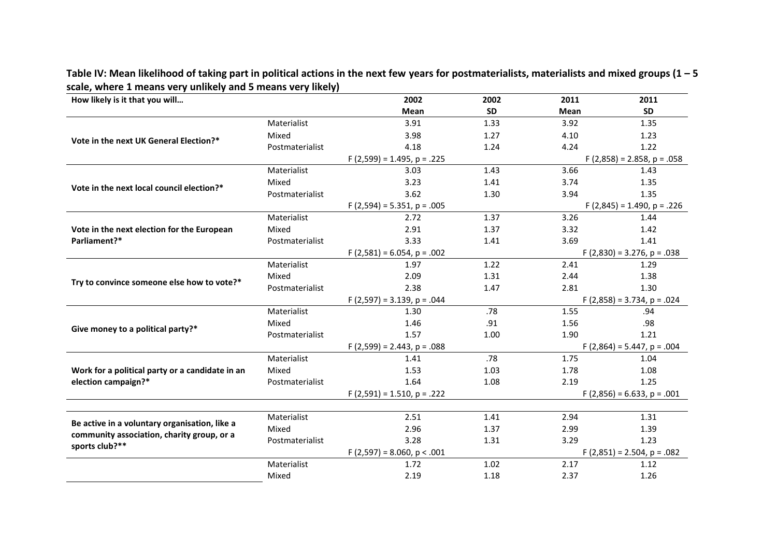| How likely is it that you will                  |                 | 2002                            | 2002                            | 2011 | 2011                            |  |  |
|-------------------------------------------------|-----------------|---------------------------------|---------------------------------|------|---------------------------------|--|--|
|                                                 |                 | Mean                            | <b>SD</b>                       | Mean | <b>SD</b>                       |  |  |
|                                                 | Materialist     | 3.91                            | 1.33                            | 3.92 | 1.35                            |  |  |
| Vote in the next UK General Election?*          | Mixed           | 3.98                            | 1.27                            | 4.10 | 1.23                            |  |  |
|                                                 | Postmaterialist | 4.18                            | 1.24                            | 4.24 | 1.22                            |  |  |
|                                                 |                 | $F(2,599) = 1.495, p = .225$    |                                 |      | $F(2,858) = 2.858, p = .058$    |  |  |
|                                                 | Materialist     | 3.03                            | 1.43                            | 3.66 | 1.43                            |  |  |
| Vote in the next local council election?*       | Mixed           | 3.23                            | 1.41                            | 3.74 | 1.35                            |  |  |
|                                                 | Postmaterialist | 3.62                            | 1.30                            | 3.94 | 1.35                            |  |  |
|                                                 |                 | $F(2,594) = 5.351, p = .005$    |                                 |      | $F(2,845) = 1.490, p = .226$    |  |  |
|                                                 | Materialist     | 2.72                            | 1.37                            | 3.26 | 1.44                            |  |  |
| Vote in the next election for the European      | Mixed           | 2.91                            | 1.37                            | 3.32 | 1.42                            |  |  |
| Parliament?*                                    | Postmaterialist | 3.33                            | 1.41                            | 3.69 | 1.41                            |  |  |
|                                                 |                 | $F(2,581) = 6.054$ , $p = .002$ |                                 |      | $F(2,830) = 3.276$ , $p = .038$ |  |  |
|                                                 | Materialist     | 1.97                            | 1.22                            | 2.41 | 1.29                            |  |  |
| Try to convince someone else how to vote?*      | Mixed           | 2.09                            | 1.31                            | 2.44 | 1.38                            |  |  |
|                                                 | Postmaterialist | 2.38                            | 1.47                            | 2.81 | 1.30                            |  |  |
|                                                 |                 | $F(2,597) = 3.139$ , $p = .044$ | $F(2,858) = 3.734$ , $p = .024$ |      |                                 |  |  |
|                                                 | Materialist     | 1.30                            | .78                             | 1.55 | .94                             |  |  |
| Give money to a political party?*               | Mixed           | 1.46                            | .91                             | 1.56 | .98                             |  |  |
|                                                 | Postmaterialist | 1.57                            | 1.00                            | 1.90 | 1.21                            |  |  |
|                                                 |                 | $F(2,599) = 2.443$ , $p = .088$ |                                 |      | $F(2,864) = 5.447$ , p = .004   |  |  |
|                                                 | Materialist     | 1.41                            | .78                             | 1.75 | 1.04                            |  |  |
| Work for a political party or a candidate in an | Mixed           | 1.53                            | 1.03                            | 1.78 | 1.08                            |  |  |
| election campaign?*                             | Postmaterialist | 1.64                            | 1.08                            | 2.19 | 1.25                            |  |  |
|                                                 |                 | $F(2,591) = 1.510, p = .222$    |                                 |      | $F(2,856) = 6.633, p = .001$    |  |  |
|                                                 |                 |                                 |                                 |      |                                 |  |  |
| Be active in a voluntary organisation, like a   | Materialist     | 2.51                            | 1.41                            | 2.94 | 1.31                            |  |  |
| community association, charity group, or a      | Mixed           | 2.96                            | 1.37                            | 2.99 | 1.39                            |  |  |
| sports club?**                                  | Postmaterialist | 3.28                            | 1.31                            | 3.29 | 1.23                            |  |  |
|                                                 | Materialist     | $F(2,597) = 8.060, p < .001$    | 1.02                            |      | $F(2,851) = 2.504, p = .082$    |  |  |
|                                                 |                 | 1.72                            |                                 | 2.17 | 1.12                            |  |  |
|                                                 | Mixed           | 2.19                            | 1.18                            | 2.37 | 1.26                            |  |  |

Table IV: Mean likelihood of taking part in political actions in the next few years for postmaterialists, materialists and mixed groups (1 - 5 **scale, where 1 means very unlikely and 5 means very likely)**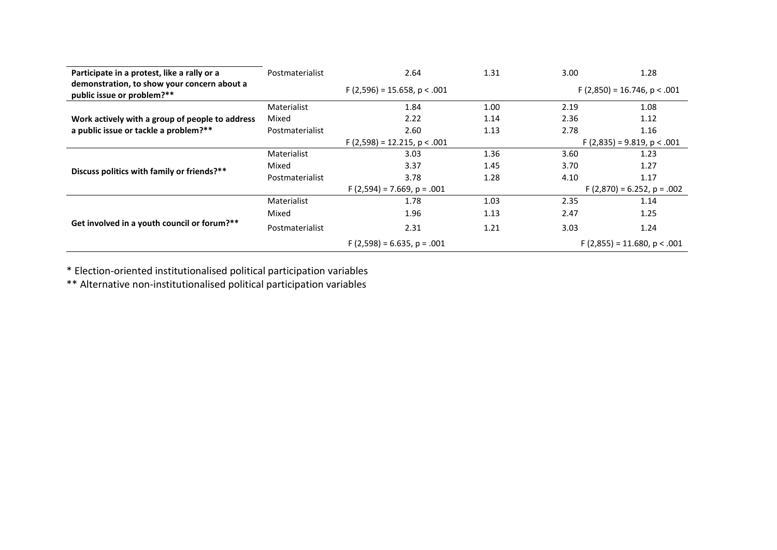| Participate in a protest, like a rally or a                               | Postmaterialist                 | 2.64                          | 1.31 | 3.00                          | 1.28                            |  |  |
|---------------------------------------------------------------------------|---------------------------------|-------------------------------|------|-------------------------------|---------------------------------|--|--|
| demonstration, to show your concern about a<br>public issue or problem?** | $F(2,596) = 15.658$ , p < .001  |                               |      |                               | $F(2,850) = 16.746$ , p < .001  |  |  |
|                                                                           | Materialist                     | 1.84                          | 1.00 | 2.19                          | 1.08                            |  |  |
| Work actively with a group of people to address                           | Mixed                           | 2.22                          | 1.14 | 2.36                          | 1.12                            |  |  |
| a public issue or tackle a problem?**                                     | Postmaterialist                 | 2.60                          | 1.13 | 2.78                          | 1.16                            |  |  |
|                                                                           |                                 | $F(2,598) = 12.215, p < .001$ |      | $F(2,835) = 9.819$ , p < .001 |                                 |  |  |
|                                                                           | Materialist                     | 3.03                          | 1.36 | 3.60                          | 1.23                            |  |  |
| Discuss politics with family or friends?**                                | Mixed                           | 3.37                          | 1.45 | 3.70                          | 1.27                            |  |  |
|                                                                           | Postmaterialist                 | 3.78                          | 1.28 | 4.10                          | 1.17                            |  |  |
|                                                                           | $F(2,594) = 7.669$ , $p = .001$ |                               |      |                               | $F(2,870) = 6.252$ , $p = .002$ |  |  |
|                                                                           | Materialist                     | 1.78                          | 1.03 | 2.35                          | 1.14                            |  |  |
|                                                                           | Mixed                           | 1.96                          | 1.13 | 2.47                          | 1.25                            |  |  |
| Get involved in a youth council or forum?**                               | Postmaterialist                 | 2.31                          | 1.21 | 3.03                          | 1.24                            |  |  |
|                                                                           |                                 | $F(2,598) = 6.635, p = .001$  |      |                               | $F(2,855) = 11.680, p < .001$   |  |  |

\* Election-oriented institutionalised political participation variables

\*\* Alternative non-institutionalised political participation variables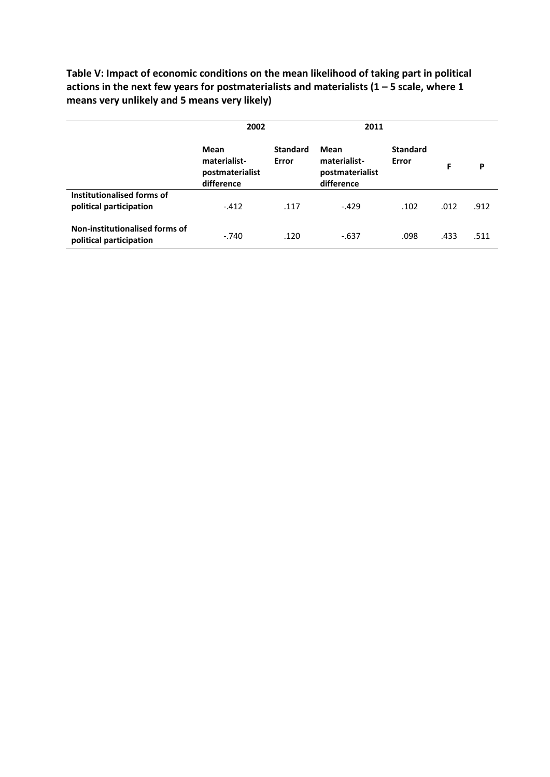**Table V: Impact of economic conditions on the mean likelihood of taking part in political actions in the next few years for postmaterialists and materialists (1 – 5 scale, where 1 means very unlikely and 5 means very likely)**

|                                                           | 2002                                                  |                          | 2011                                                  |                          |      |      |
|-----------------------------------------------------------|-------------------------------------------------------|--------------------------|-------------------------------------------------------|--------------------------|------|------|
|                                                           | Mean<br>materialist-<br>postmaterialist<br>difference | <b>Standard</b><br>Error | Mean<br>materialist-<br>postmaterialist<br>difference | <b>Standard</b><br>Error | F    | P    |
| Institutionalised forms of<br>political participation     | $-412$                                                | .117                     | $-429$                                                | .102                     | .012 | .912 |
| Non-institutionalised forms of<br>political participation | $-.740$                                               | .120                     | $-637$                                                | .098                     | .433 | .511 |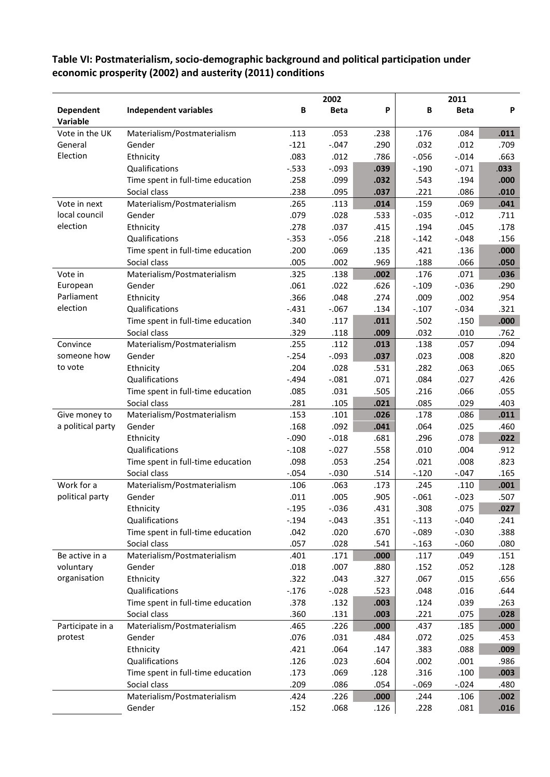# **Table VI: Postmaterialism, socio-demographic background and political participation under economic prosperity (2002) and austerity (2011) conditions**

|                              |                                   |          | 2002        |      |          | 2011        |      |
|------------------------------|-----------------------------------|----------|-------------|------|----------|-------------|------|
| <b>Dependent</b><br>Variable | <b>Independent variables</b>      | В        | <b>Beta</b> | P    | B        | <b>Beta</b> | P    |
| Vote in the UK               | Materialism/Postmaterialism       | .113     | .053        | .238 | .176     | .084        | .011 |
| General                      | Gender                            | $-121$   | $-.047$     | .290 | .032     | .012        | .709 |
| Election                     | Ethnicity                         | .083     | .012        | .786 | $-0.056$ | $-0.014$    | .663 |
|                              | Qualifications                    | $-533$   | $-.093$     | .039 | $-.190$  | $-.071$     | .033 |
|                              | Time spent in full-time education | .258     | .099        | .032 | .543     | .194        | .000 |
|                              | Social class                      | .238     | .095        | .037 | .221     | .086        | .010 |
| Vote in next                 | Materialism/Postmaterialism       | .265     | .113        | .014 | .159     | .069        | .041 |
| local council                | Gender                            | .079     | .028        | .533 | $-.035$  | $-.012$     | .711 |
| election                     | Ethnicity                         | .278     | .037        | .415 | .194     | .045        | .178 |
|                              | Qualifications                    | $-0.353$ | $-0.056$    | .218 | $-.142$  | $-0.048$    | .156 |
|                              | Time spent in full-time education | .200     | .069        | .135 | .421     | .136        | .000 |
|                              | Social class                      | .005     | .002        | .969 | .188     | .066        | .050 |
| Vote in                      | Materialism/Postmaterialism       | .325     | .138        | .002 | .176     | .071        | .036 |
| European                     | Gender                            | .061     | .022        | .626 | $-.109$  | $-0.036$    | .290 |
| Parliament                   | Ethnicity                         | .366     | .048        | .274 | .009     | .002        | .954 |
| election                     | Qualifications                    | $-.431$  | $-0.67$     | .134 | $-.107$  | $-0.034$    | .321 |
|                              | Time spent in full-time education | .340     | .117        | .011 | .502     | .150        | .000 |
|                              | Social class                      | .329     | .118        | .009 | .032     | .010        | .762 |
| Convince                     | Materialism/Postmaterialism       | .255     | .112        | .013 | .138     | .057        | .094 |
| someone how                  | Gender                            | $-.254$  | $-0.093$    | .037 | .023     | .008        | .820 |
| to vote                      | Ethnicity                         | .204     | .028        | .531 | .282     | .063        | .065 |
|                              | Qualifications                    | $-494$   | $-.081$     | .071 | .084     | .027        | .426 |
|                              | Time spent in full-time education | .085     | .031        | .505 | .216     | .066        | .055 |
|                              | Social class                      | .281     | .105        | .021 | .085     | .029        | .403 |
| Give money to                | Materialism/Postmaterialism       | .153     | .101        | .026 | .178     | .086        | .011 |
| a political party            | Gender                            | .168     | .092        | .041 | .064     | .025        | .460 |
|                              | Ethnicity                         | $-.090$  | $-.018$     | .681 | .296     | .078        | .022 |
|                              | Qualifications                    | $-.108$  | $-.027$     | .558 | .010     | .004        | .912 |
|                              | Time spent in full-time education | .098     | .053        | .254 | .021     | .008        | .823 |
|                              | Social class                      | $-0.054$ | $-.030$     | .514 | $-.120$  | $-.047$     | .165 |
| Work for a                   | Materialism/Postmaterialism       | .106     | .063        | .173 | .245     | .110        | .001 |
| political party              | Gender                            | .011     | .005        | .905 | $-.061$  | $-0.023$    | .507 |
|                              | Ethnicity                         | $-0.195$ | $-0.036$    | .431 | .308     | .075        | .027 |
|                              | Qualifications                    | $-.194$  | $-.043$     | .351 | $-.113$  | $-.040$     | .241 |
|                              | Time spent in full-time education | .042     | .020        | .670 | $-0.89$  | $-0.030$    | .388 |
|                              | Social class                      | .057     | .028        | .541 | $-.163$  | $-0.060$    | .080 |
| Be active in a               | Materialism/Postmaterialism       | .401     | .171        | .000 | .117     | .049        | .151 |
| voluntary                    | Gender                            | .018     | .007        | .880 | .152     | .052        | .128 |
| organisation                 | Ethnicity                         | .322     | .043        | .327 | .067     | .015        | .656 |
|                              | Qualifications                    | $-.176$  | $-.028$     | .523 | .048     | .016        | .644 |
|                              | Time spent in full-time education | .378     | .132        | .003 | .124     | .039        | .263 |
|                              | Social class                      | .360     | .131        | .003 | .221     | .075        | .028 |
| Participate in a             | Materialism/Postmaterialism       | .465     | .226        | .000 | .437     | .185        | .000 |
| protest                      | Gender                            | .076     | .031        | .484 | .072     | .025        | .453 |
|                              | Ethnicity                         | .421     | .064        | .147 | .383     | .088        | .009 |
|                              | Qualifications                    | .126     | .023        | .604 | .002     | .001        | .986 |
|                              | Time spent in full-time education | .173     | .069        | .128 | .316     | .100        | .003 |
|                              | Social class                      | .209     | .086        | .054 | $-069$   | $-0.024$    | .480 |
|                              | Materialism/Postmaterialism       | .424     | .226        | .000 | .244     | .106        | .002 |
|                              | Gender                            | .152     | .068        | .126 | .228     | .081        | .016 |
|                              |                                   |          |             |      |          |             |      |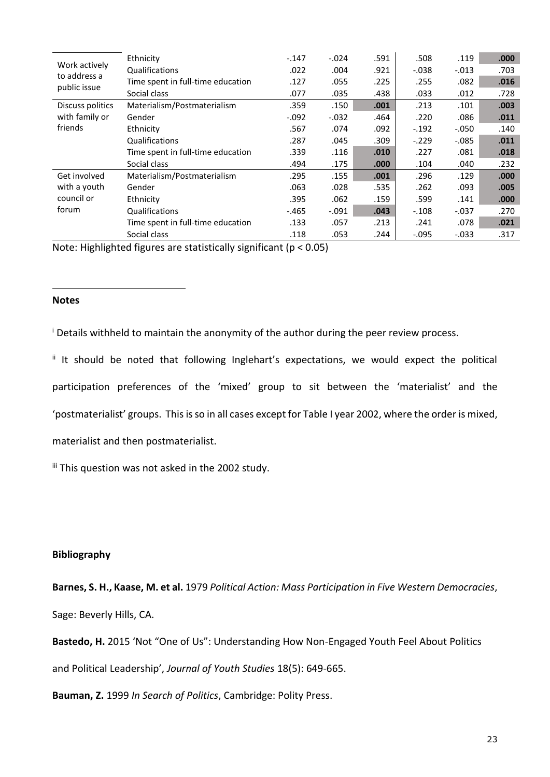|                              | Ethnicity                         | $-.147$ | $-.024$ | .591  | .508     | .119     | .000 |
|------------------------------|-----------------------------------|---------|---------|-------|----------|----------|------|
| Work actively                | Qualifications                    | .022    | .004    | .921  | $-0.038$ | $-.013$  | .703 |
| to address a<br>public issue | Time spent in full-time education | .127    | .055    | .225  | .255     | .082     | .016 |
|                              | Social class                      | .077    | .035    | .438  | .033     | .012     | .728 |
| Discuss politics             | Materialism/Postmaterialism       | .359    | .150    | .001  | .213     | .101     | .003 |
| with family or               | Gender                            | $-.092$ | $-.032$ | .464  | .220     | .086     | .011 |
| friends                      | Ethnicity                         | .567    | .074    | .092  | $-.192$  | $-.050$  | .140 |
|                              | Qualifications                    | .287    | .045    | .309  | $-.229$  | $-0.085$ | .011 |
|                              | Time spent in full-time education | .339    | .116    | .010  | .227     | .081     | .018 |
|                              | Social class                      | .494    | .175    | .000. | .104     | .040     | .232 |
| Get involved                 | Materialism/Postmaterialism       | .295    | .155    | .001  | .296     | .129     | .000 |
| with a youth                 | Gender                            | .063    | .028    | .535  | .262     | .093     | .005 |
| council or                   | Ethnicity                         | .395    | .062    | .159  | .599     | .141     | .000 |
| forum                        | Qualifications                    | $-465$  | $-.091$ | .043  | $-.108$  | $-.037$  | .270 |
|                              | Time spent in full-time education | .133    | .057    | .213  | .241     | .078     | .021 |
|                              | Social class                      | .118    | .053    | .244  | $-.095$  | $-.033$  | .317 |

Note: Highlighted figures are statistically significant (p < 0.05)

#### **Notes**

1

<sup>i</sup> Details withheld to maintain the anonymity of the author during the peer review process.

ii It should be noted that following Inglehart's expectations, we would expect the political participation preferences of the 'mixed' group to sit between the 'materialist' and the 'postmaterialist' groups. This is so in all cases except for Table I year 2002, where the order is mixed, materialist and then postmaterialist.

iii This question was not asked in the 2002 study.

#### **Bibliography**

**Barnes, S. H., Kaase, M. et al.** 1979 *Political Action: Mass Participation in Five Western Democracies*, Sage: Beverly Hills, CA.

**Bastedo, H.** 2015 'Not "One of Us": Understanding How Non-Engaged Youth Feel About Politics and Political Leadership', *Journal of Youth Studies* 18(5): 649-665.

**Bauman, Z.** 1999 *In Search of Politics*, Cambridge: Polity Press.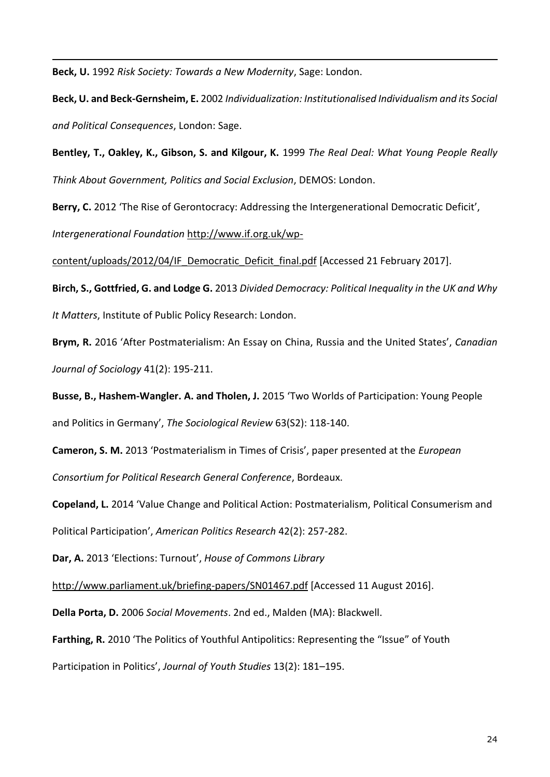**Beck, U.** 1992 *Risk Society: Towards a New Modernity*, Sage: London.

1

**Beck, U. and Beck-Gernsheim, E.** 2002 *Individualization: Institutionalised Individualism and its Social and Political Consequences*, London: Sage.

**Bentley, T., Oakley, K., Gibson, S. and Kilgour, K.** 1999 *The Real Deal: What Young People Really Think About Government, Politics and Social Exclusion*, DEMOS: London.

**Berry, C.** 2012 'The Rise of Gerontocracy: Addressing the Intergenerational Democratic Deficit',

*Intergenerational Foundation* [http://www.if.org.uk/wp-](http://www.if.org.uk/wp-content/uploads/2012/04/IF_Democratic_Deficit_final.pdf)

[content/uploads/2012/04/IF\\_Democratic\\_Deficit\\_final.pdf](http://www.if.org.uk/wp-content/uploads/2012/04/IF_Democratic_Deficit_final.pdf) [Accessed 21 February 2017].

**Birch, S., Gottfried, G. and Lodge G.** 2013 *Divided Democracy: Political Inequality in the UK and Why It Matters*, Institute of Public Policy Research: London.

**Brym, R.** 2016 'After Postmaterialism: An Essay on China, Russia and the United States', *Canadian Journal of Sociology* 41(2): 195-211.

**Busse, B., Hashem-Wangler. A. and Tholen, J.** 2015 'Two Worlds of Participation: Young People and Politics in Germany', *The Sociological Review* 63(S2): 118-140.

**Cameron, S. M.** 2013 'Postmaterialism in Times of Crisis', paper presented at the *European Consortium for Political Research General Conference*, Bordeaux.

**Copeland, L.** 2014 'Value Change and Political Action: Postmaterialism, Political Consumerism and Political Participation', *American Politics Research* 42(2): 257-282.

**Dar, A.** 2013 'Elections: Turnout', *House of Commons Library*

<http://www.parliament.uk/briefing-papers/SN01467.pdf> [Accessed 11 August 2016].

**Della Porta, D.** 2006 *Social Movements*. 2nd ed., Malden (MA): Blackwell.

Farthing, R. 2010 'The Politics of Youthful Antipolitics: Representing the "Issue" of Youth Participation in Politics', *Journal of Youth Studies* 13(2): 181–195.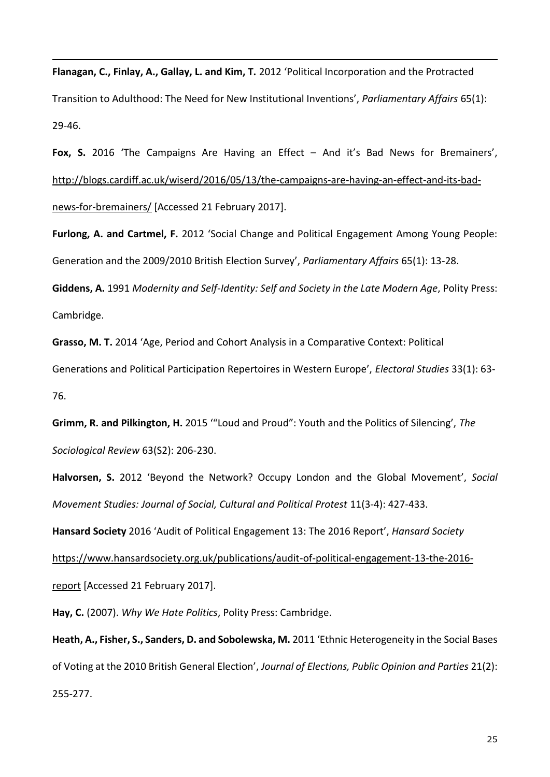**Flanagan, C., Finlay, A., Gallay, L. and Kim, T.** 2012 'Political Incorporation and the Protracted Transition to Adulthood: The Need for New Institutional Inventions', *Parliamentary Affairs* 65(1): 29-46.

**Fox, S.** 2016 'The Campaigns Are Having an Effect – And it's Bad News for Bremainers', [http://blogs.cardiff.ac.uk/wiserd/2016/05/13/the-campaigns-are-having-an-effect-and-its-bad](http://blogs.cardiff.ac.uk/wiserd/2016/06/27/young-people-and-the-eu-referendum-5-key-lessons-from-polling-day/)[news-for-bremainers/](http://blogs.cardiff.ac.uk/wiserd/2016/06/27/young-people-and-the-eu-referendum-5-key-lessons-from-polling-day/) [Accessed 21 February 2017].

**Furlong, A. and Cartmel, F.** 2012 'Social Change and Political Engagement Among Young People: Generation and the 2009/2010 British Election Survey', *Parliamentary Affairs* 65(1): 13-28.

**Giddens, A.** 1991 *Modernity and Self-Identity: Self and Society in the Late Modern Age*, Polity Press: Cambridge.

**Grasso, M. T.** 2014 'Age, Period and Cohort Analysis in a Comparative Context: Political

Generations and Political Participation Repertoires in Western Europe', *Electoral Studies* 33(1): 63- 76.

**Grimm, R. and Pilkington, H.** 2015 '"Loud and Proud": Youth and the Politics of Silencing', *The Sociological Review* 63(S2): 206-230.

**Halvorsen, S.** [2012 'Beyond the Network? Occupy London and the Gl](http://www.tandfonline.com/doi/full/10.1080/14742837.2012.708835)obal Movement', *Social Movement Studies: Journal of Social, Cultural and Political Protest* 11(3-4): 427-433.

**Hansard Society** 2016 'Audit of Political Engagement 13: The 2016 Report', *Hansard Society*

[https://www.hansardsociety.org.uk/publications/audit-of-political-engagement-13-the-2016-](https://www.hansardsociety.org.uk/publications/audit-of-political-engagement-13-the-2016-report)

[report](https://www.hansardsociety.org.uk/publications/audit-of-political-engagement-13-the-2016-report) [Accessed 21 February 2017].

1

**Hay, C.** (2007). *Why We Hate Politics*, Polity Press: Cambridge.

**Heath, A., Fisher, S., Sanders, D. and Sobolewska, M.** 2011 'Ethnic Heterogeneity in the Social Bases of Voting at the 2010 British General Election', *Journal of Elections, Public Opinion and Parties* 21(2): 255-277.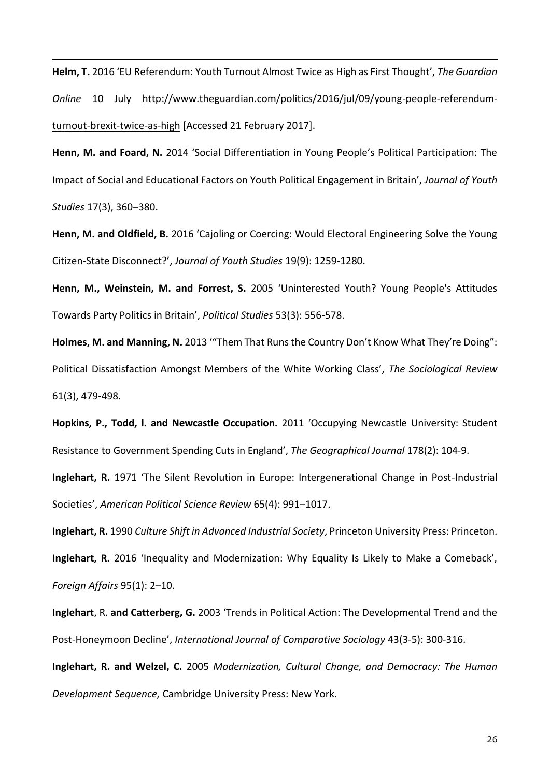**Helm, T.** 2016 'EU Referendum: Youth Turnout Almost Twice as High as First Thought', *The Guardian Online* 10 July [http://www.theguardian.com/politics/2016/jul/09/young-people-referendum](http://www.theguardian.com/politics/2016/jul/09/young-people-referendum-turnout-brexit-twice-as-high)[turnout-brexit-twice-as-high](http://www.theguardian.com/politics/2016/jul/09/young-people-referendum-turnout-brexit-twice-as-high) [Accessed 21 February 2017].

1

**Henn, M. and Foard, N.** 2014 'Social Differentiation in Young People's Political Participation: The Impact of Social and Educational Factors on Youth Political Engagement in Britain', *Journal of Youth Studies* 17(3), 360–380.

**Henn, M. and Oldfield, B.** 2016 'Cajoling or Coercing: Would Electoral Engineering Solve the Young Citizen-State Disconnect?', *Journal of Youth Studies* 19(9): 1259-1280.

**Henn, M., Weinstein, M. and Forrest, S.** 2005 'Uninterested Youth? Young People's Attitudes Towards Party Politics in Britain', *Political Studies* 53(3): 556-578.

**Holmes, M. and Manning, N.** 2013 '"Them That Runs the Country Don't Know What They're Doing": Political Dissatisfaction Amongst Members of the White Working Class', *The Sociological Review*  61(3), 479-498.

**Hopkins, P., Todd, l. and Newcastle Occupation.** 2011 'Occupying Newcastle University: Student Resistance to Government Spending Cuts in England', *[The Geographical Journal](http://onlinelibrary.wiley.com/journal/10.1111/(ISSN)1475-4959)* 178(2): 104-9.

**Inglehart, R.** 1971 'The Silent Revolution in Europe: Intergenerational Change in Post-Industrial Societies', *American Political Science Review* 65(4): 991–1017.

**Inglehart, R.** 1990 *Culture Shift in Advanced Industrial Society*, Princeton University Press: Princeton.

**Inglehart, R.** 2016 'Inequality and Modernization: Why Equality Is Likely to Make a Comeback', *Foreign Affairs* 95(1): 2–10.

**Inglehart**, R. **and Catterberg, G.** 2003 'Trends in Political Action: The Developmental Trend and the Post-Honeymoon Decline', *International Journal of Comparative Sociology* 43(3-5): 300-316.

**Inglehart, R. and Welzel, C.** 2005 *Modernization, Cultural Change, and Democracy: The Human Development Sequence,* Cambridge University Press: New York.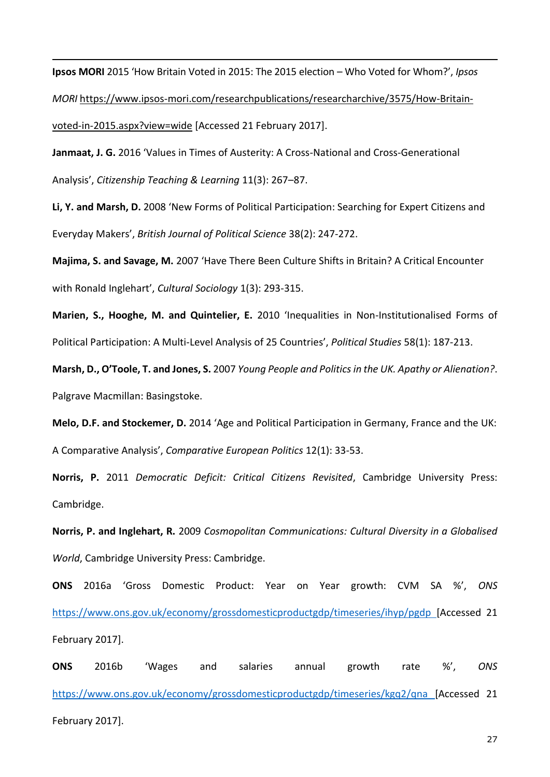**Ipsos MORI** 2015 'How Britain Voted in 2015: The 2015 election – Who Voted for Whom?', *Ipsos MORI* [https://www.ipsos-mori.com/researchpublications/researcharchive/3575/How-Britain](https://www.ipsos-mori.com/researchpublications/researcharchive/3575/How-Britain-voted-in-2015.aspx?view=wide)[voted-in-2015.aspx?view=wide](https://www.ipsos-mori.com/researchpublications/researcharchive/3575/How-Britain-voted-in-2015.aspx?view=wide) [Accessed 21 February 2017].

1

**Janmaat, J. G.** 2016 'Values in Times of Austerity: A Cross-National and Cross-Generational Analysis', *Citizenship Teaching & Learning* 11(3): 267–87.

**Li, Y. and Marsh, D.** 2008 'New Forms of Political Participation: Searching for Expert Citizens and Everyday Makers', *British Journal of Political Science* 38(2): 247-272.

**Majima, S. and Savage, M.** 2007 'Have There Been Culture Shifts in Britain? A Critical Encounter with Ronald Inglehart', *Cultural Sociology* 1(3): 293-315.

**Marien, S., Hooghe, M. and Quintelier, E.** 2010 'Inequalities in Non-Institutionalised Forms of Political Participation: A Multi-Level Analysis of 25 Countries', *Political Studies* 58(1): 187-213.

**Marsh, D., O'Toole, T. and Jones, S.** 2007 *Young People and Politics in the UK. Apathy or Alienation?*. Palgrave Macmillan: Basingstoke.

**Melo, D.F. and Stockemer, D.** 2014 'Age and Political Participation in Germany, France and the UK: A Comparative Analysis', *Comparative European Politics* 12(1): 33-53.

**Norris, P.** 2011 *Democratic Deficit: Critical Citizens Revisited*, Cambridge University Press: Cambridge.

**Norris, P. and Inglehart, R.** 2009 *Cosmopolitan Communications: Cultural Diversity in a Globalised World*, Cambridge University Press: Cambridge.

**ONS** 2016a 'Gross Domestic Product: Year on Year growth: CVM SA %', *ONS* <https://www.ons.gov.uk/economy/grossdomesticproductgdp/timeseries/ihyp/pgdp> [Accessed 21 February 2017].

**ONS** 2016b 'Wages and salaries annual growth rate %', *ONS* <https://www.ons.gov.uk/economy/grossdomesticproductgdp/timeseries/kgq2/qna> [Accessed 21 February 2017].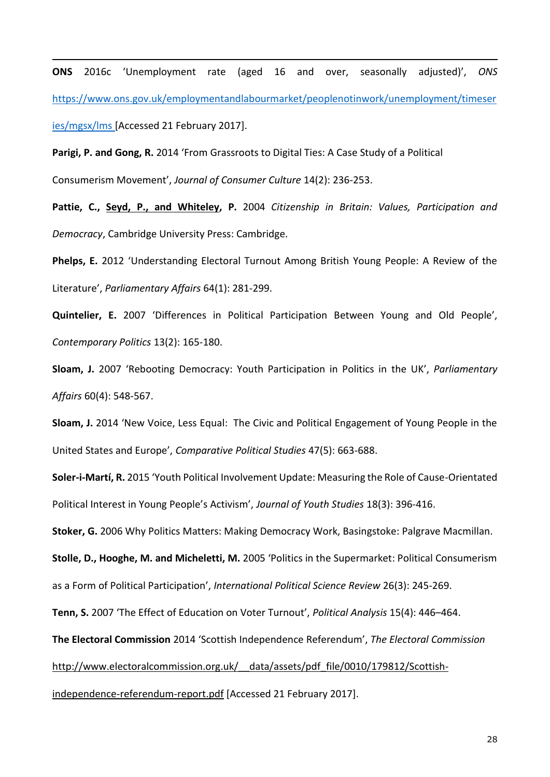**ONS** 2016c 'Unemployment rate (aged 16 and over, seasonally adjusted)', *ONS* [https://www.ons.gov.uk/employmentandlabourmarket/peoplenotinwork/unemployment/timeser](https://www.ons.gov.uk/employmentandlabourmarket/peoplenotinwork/unemployment/timeseries/mgsx/lms) [ies/mgsx/lms](https://www.ons.gov.uk/employmentandlabourmarket/peoplenotinwork/unemployment/timeseries/mgsx/lms) [Accessed 21 February 2017].

**Parigi, P. and Gong, R.** 2014 'From Grassroots to Digital Ties: A Case Study of a Political Consumerism Movement', *Journal of Consumer Culture* 14(2): 236-253.

1

**Pattie, C., Seyd, P., and Whiteley, P.** 2004 *Citizenship in Britain: Values, Participation and Democracy*, Cambridge University Press: Cambridge.

**Phelps, E.** 2012 'Understanding Electoral Turnout Among British Young People: A Review of the Literature', *Parliamentary Affairs* 64(1): 281-299.

**Quintelier, E.** 2007 'Differences in Political Participation Between Young and Old People', *Contemporary Politics* 13(2): 165-180.

**Sloam, J.** 2007 'Rebooting Democracy: Youth Participation in Politics in the UK', *Parliamentary Affairs* 60(4): 548-567.

**Sloam, J.** 2014 'New Voice, Less Equal: The Civic and Political Engagement of Young People in the United States and Europe', *Comparative Political Studies* 47(5): 663-688.

**Soler-i-Martí, R.** 2015 'Youth Political Involvement Update: Measuring the Role of Cause-Orientated Political Interest in Young People's Activism', *Journal of Youth Studies* 18(3): 396-416.

**Stoker, G.** 2006 Why Politics Matters: Making Democracy Work, Basingstoke: Palgrave Macmillan.

**Stolle, D., Hooghe, M. and Micheletti, M.** 2005 'Politics in the Supermarket: Political Consumerism as a Form of Political Participation', *International Political Science Review* 26(3): 245-269.

**Tenn, S.** 2007 'The Effect of Education on Voter Turnout', *Political Analysis* 15(4): 446–464.

**The Electoral Commission** 2014 'Scottish Independence Referendum', *The Electoral Commission* 

#### http://www.electoralcommission.org.uk/ data/assets/pdf file/0010/179812/Scottish-

[independence-referendum-report.pdf](http://www.electoralcommission.org.uk/__data/assets/pdf_file/0010/179812/Scottish-independence-referendum-report.pdf) [Accessed 21 February 2017].